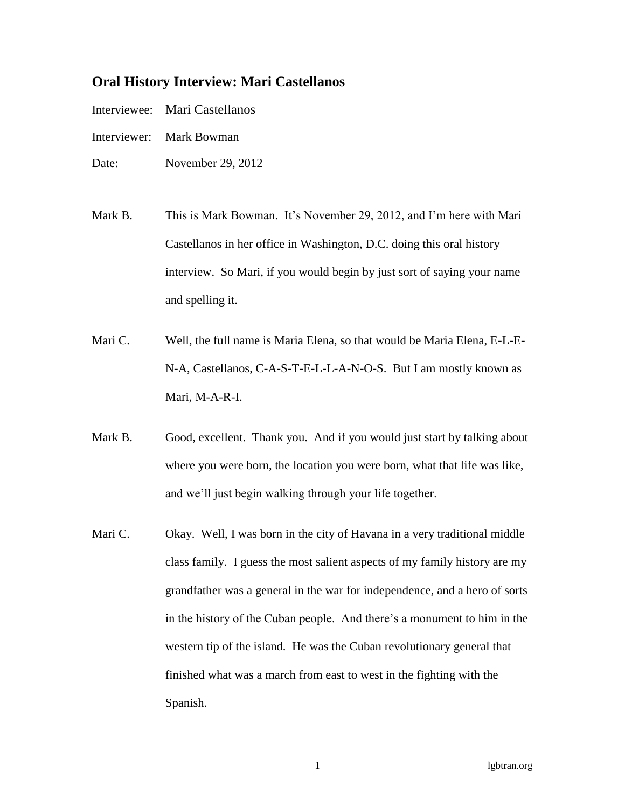## **Oral History Interview: Mari Castellanos**

| Mari Castellanos |
|------------------|
|                  |

- Interviewer: Mark Bowman
- Date: November 29, 2012
- Mark B. This is Mark Bowman. It's November 29, 2012, and I'm here with Mari Castellanos in her office in Washington, D.C. doing this oral history interview. So Mari, if you would begin by just sort of saying your name and spelling it.
- Mari C. Well, the full name is Maria Elena, so that would be Maria Elena, E-L-E-N-A, Castellanos, C-A-S-T-E-L-L-A-N-O-S. But I am mostly known as Mari, M-A-R-I.
- Mark B. Good, excellent. Thank you. And if you would just start by talking about where you were born, the location you were born, what that life was like, and we'll just begin walking through your life together.
- Mari C. Okay. Well, I was born in the city of Havana in a very traditional middle class family. I guess the most salient aspects of my family history are my grandfather was a general in the war for independence, and a hero of sorts in the history of the Cuban people. And there's a monument to him in the western tip of the island. He was the Cuban revolutionary general that finished what was a march from east to west in the fighting with the Spanish.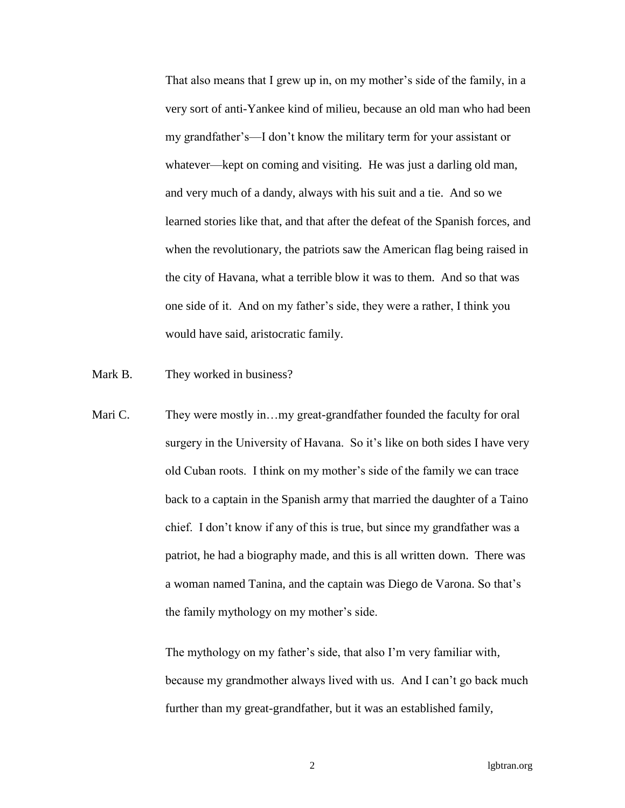That also means that I grew up in, on my mother's side of the family, in a very sort of anti-Yankee kind of milieu, because an old man who had been my grandfather's—I don't know the military term for your assistant or whatever—kept on coming and visiting. He was just a darling old man, and very much of a dandy, always with his suit and a tie. And so we learned stories like that, and that after the defeat of the Spanish forces, and when the revolutionary, the patriots saw the American flag being raised in the city of Havana, what a terrible blow it was to them. And so that was one side of it. And on my father's side, they were a rather, I think you would have said, aristocratic family.

Mark B. They worked in business?

Mari C. They were mostly in...my great-grandfather founded the faculty for oral surgery in the University of Havana. So it's like on both sides I have very old Cuban roots. I think on my mother's side of the family we can trace back to a captain in the Spanish army that married the daughter of a Taino chief. I don't know if any of this is true, but since my grandfather was a patriot, he had a biography made, and this is all written down. There was a woman named Tanina, and the captain was Diego de Varona. So that's the family mythology on my mother's side.

> The mythology on my father's side, that also I'm very familiar with, because my grandmother always lived with us. And I can't go back much further than my great-grandfather, but it was an established family,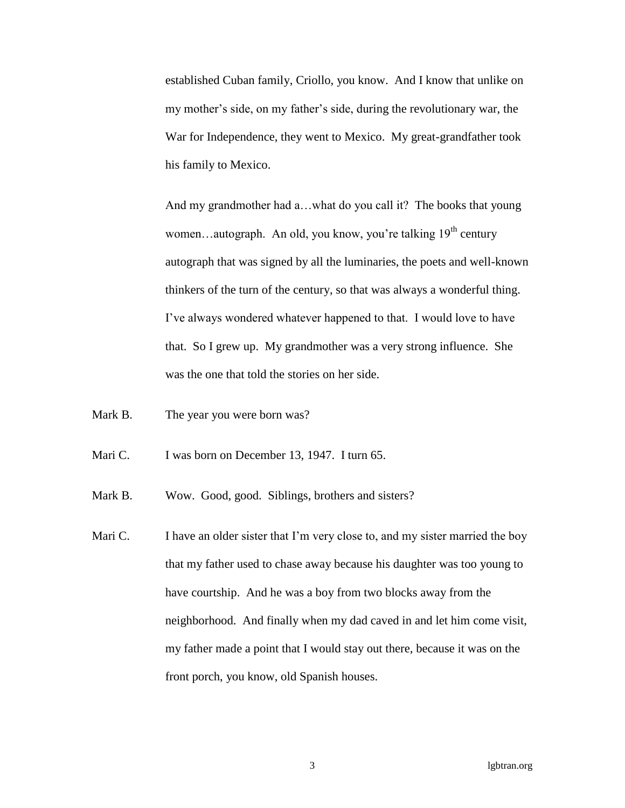established Cuban family, Criollo, you know. And I know that unlike on my mother's side, on my father's side, during the revolutionary war, the War for Independence, they went to Mexico. My great-grandfather took his family to Mexico.

And my grandmother had a...what do you call it? The books that young women...autograph. An old, you know, you're talking  $19<sup>th</sup>$  century autograph that was signed by all the luminaries, the poets and well-known thinkers of the turn of the century, so that was always a wonderful thing. I've always wondered whatever happened to that. I would love to have that. So I grew up. My grandmother was a very strong influence. She was the one that told the stories on her side.

- Mark B. The year you were born was?
- Mari C. I was born on December 13, 1947. I turn 65.

Mark B. Wow. Good, good. Siblings, brothers and sisters?

Mari C. I have an older sister that I'm very close to, and my sister married the boy that my father used to chase away because his daughter was too young to have courtship. And he was a boy from two blocks away from the neighborhood. And finally when my dad caved in and let him come visit, my father made a point that I would stay out there, because it was on the front porch, you know, old Spanish houses.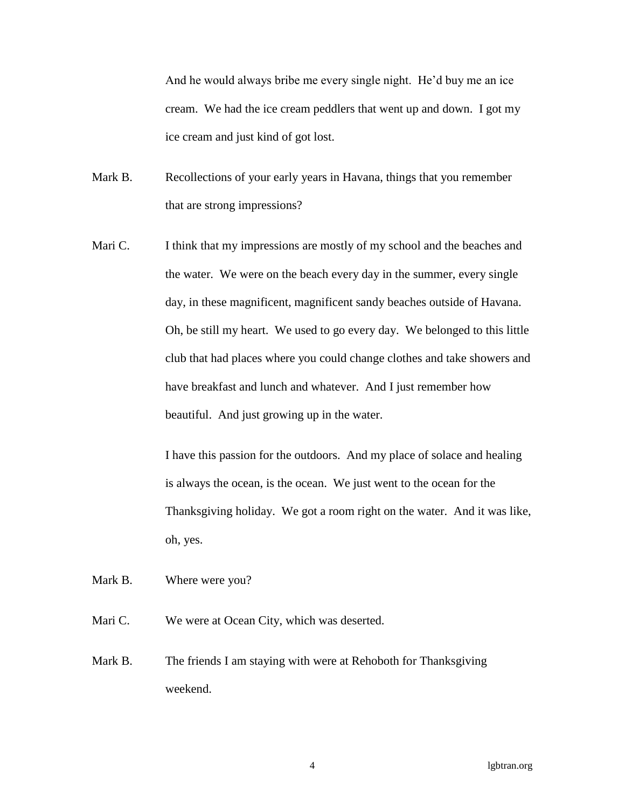And he would always bribe me every single night. He'd buy me an ice cream. We had the ice cream peddlers that went up and down. I got my ice cream and just kind of got lost.

- Mark B. Recollections of your early years in Havana, things that you remember that are strong impressions?
- Mari C. I think that my impressions are mostly of my school and the beaches and the water. We were on the beach every day in the summer, every single day, in these magnificent, magnificent sandy beaches outside of Havana. Oh, be still my heart. We used to go every day. We belonged to this little club that had places where you could change clothes and take showers and have breakfast and lunch and whatever. And I just remember how beautiful. And just growing up in the water.

I have this passion for the outdoors. And my place of solace and healing is always the ocean, is the ocean. We just went to the ocean for the Thanksgiving holiday. We got a room right on the water. And it was like, oh, yes.

Mark B. Where were you?

Mari C. We were at Ocean City, which was deserted.

Mark B. The friends I am staying with were at Rehoboth for Thanksgiving weekend.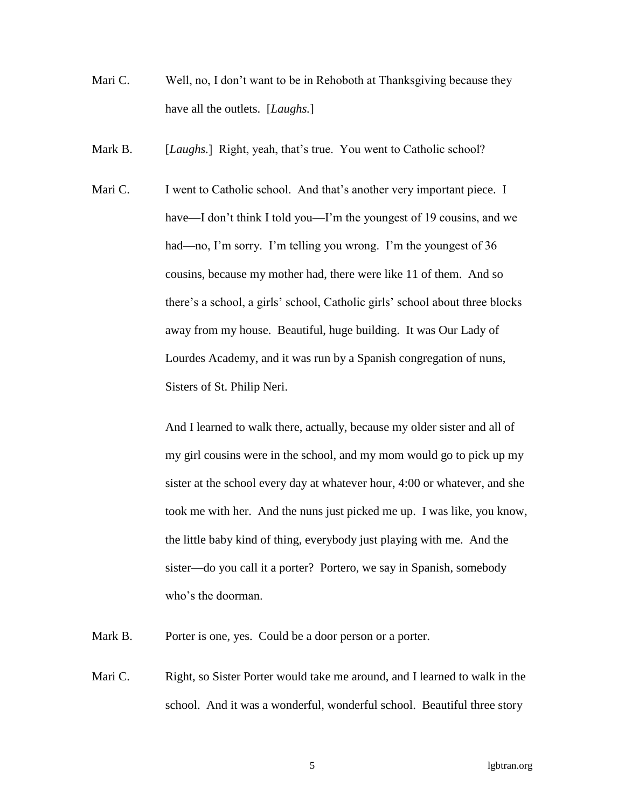- Mari C. Well, no, I don't want to be in Rehoboth at Thanksgiving because they have all the outlets. [*Laughs.*]
- Mark B. [*Laughs.*] Right, yeah, that's true. You went to Catholic school?
- Mari C. I went to Catholic school. And that's another very important piece. I have—I don't think I told you—I'm the youngest of 19 cousins, and we had—no, I'm sorry. I'm telling you wrong. I'm the youngest of 36 cousins, because my mother had, there were like 11 of them. And so there's a school, a girls' school, Catholic girls' school about three blocks away from my house. Beautiful, huge building. It was Our Lady of Lourdes Academy, and it was run by a Spanish congregation of nuns, Sisters of St. Philip Neri.

And I learned to walk there, actually, because my older sister and all of my girl cousins were in the school, and my mom would go to pick up my sister at the school every day at whatever hour, 4:00 or whatever, and she took me with her. And the nuns just picked me up. I was like, you know, the little baby kind of thing, everybody just playing with me. And the sister—do you call it a porter? Portero, we say in Spanish, somebody who's the doorman.

Mark B. Porter is one, yes. Could be a door person or a porter.

Mari C. Right, so Sister Porter would take me around, and I learned to walk in the school. And it was a wonderful, wonderful school. Beautiful three story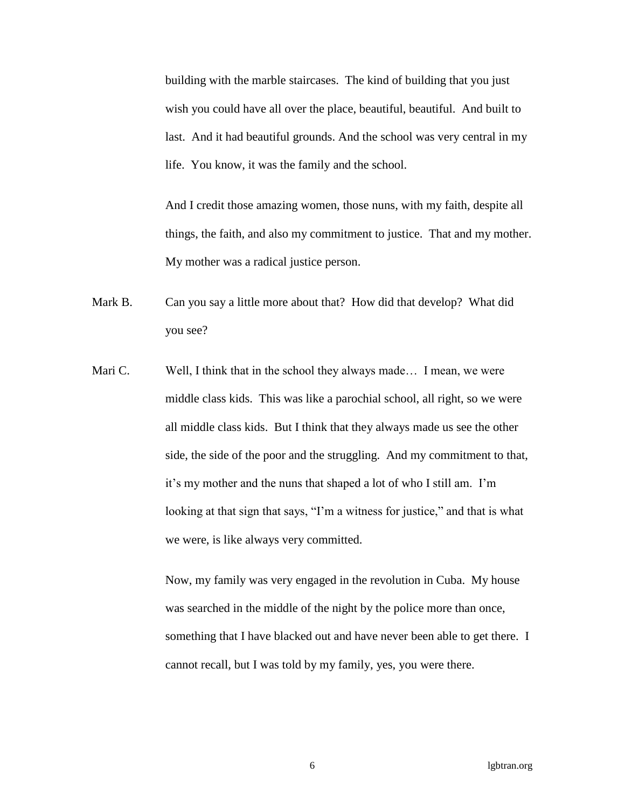building with the marble staircases. The kind of building that you just wish you could have all over the place, beautiful, beautiful. And built to last. And it had beautiful grounds. And the school was very central in my life. You know, it was the family and the school.

And I credit those amazing women, those nuns, with my faith, despite all things, the faith, and also my commitment to justice. That and my mother. My mother was a radical justice person.

- Mark B. Can you say a little more about that? How did that develop? What did you see?
- Mari C. Well, I think that in the school they always made... I mean, we were middle class kids. This was like a parochial school, all right, so we were all middle class kids. But I think that they always made us see the other side, the side of the poor and the struggling. And my commitment to that, it's my mother and the nuns that shaped a lot of who I still am. I'm looking at that sign that says, "I'm a witness for justice," and that is what we were, is like always very committed.

Now, my family was very engaged in the revolution in Cuba. My house was searched in the middle of the night by the police more than once, something that I have blacked out and have never been able to get there. I cannot recall, but I was told by my family, yes, you were there.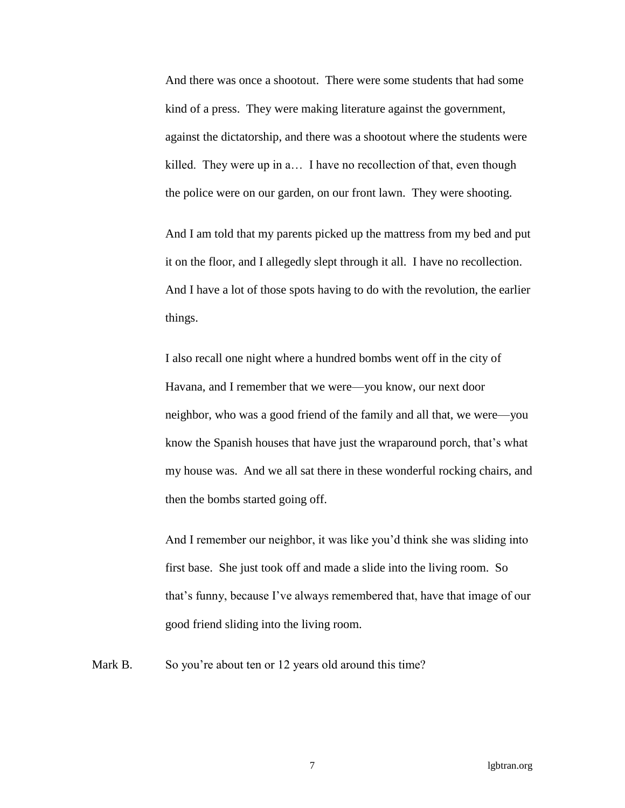And there was once a shootout. There were some students that had some kind of a press. They were making literature against the government, against the dictatorship, and there was a shootout where the students were killed. They were up in a… I have no recollection of that, even though the police were on our garden, on our front lawn. They were shooting.

And I am told that my parents picked up the mattress from my bed and put it on the floor, and I allegedly slept through it all. I have no recollection. And I have a lot of those spots having to do with the revolution, the earlier things.

I also recall one night where a hundred bombs went off in the city of Havana, and I remember that we were—you know, our next door neighbor, who was a good friend of the family and all that, we were—you know the Spanish houses that have just the wraparound porch, that's what my house was. And we all sat there in these wonderful rocking chairs, and then the bombs started going off.

And I remember our neighbor, it was like you'd think she was sliding into first base. She just took off and made a slide into the living room. So that's funny, because I've always remembered that, have that image of our good friend sliding into the living room.

Mark B. So you're about ten or 12 years old around this time?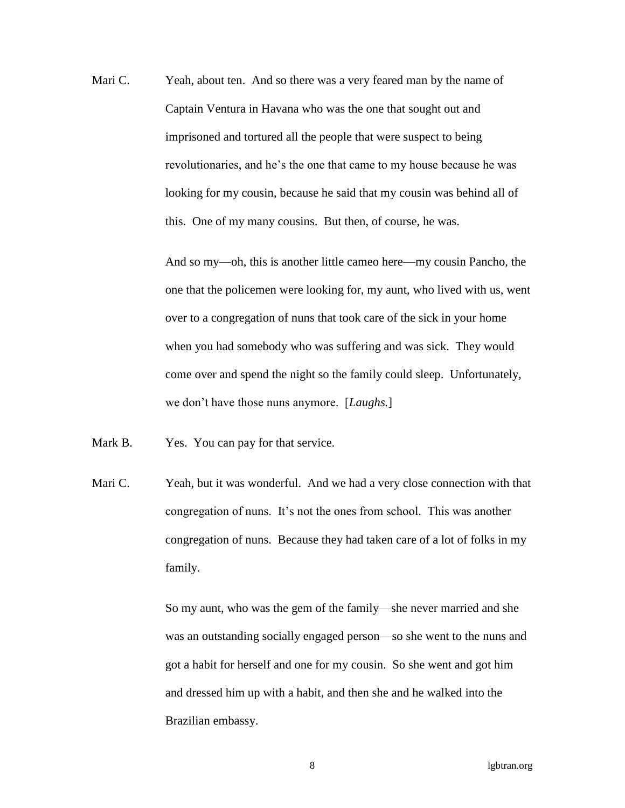Mari C. Yeah, about ten. And so there was a very feared man by the name of Captain Ventura in Havana who was the one that sought out and imprisoned and tortured all the people that were suspect to being revolutionaries, and he's the one that came to my house because he was looking for my cousin, because he said that my cousin was behind all of this. One of my many cousins. But then, of course, he was.

> And so my—oh, this is another little cameo here—my cousin Pancho, the one that the policemen were looking for, my aunt, who lived with us, went over to a congregation of nuns that took care of the sick in your home when you had somebody who was suffering and was sick. They would come over and spend the night so the family could sleep. Unfortunately, we don't have those nuns anymore. [*Laughs.*]

Mark B. Yes. You can pay for that service.

Mari C. Yeah, but it was wonderful. And we had a very close connection with that congregation of nuns. It's not the ones from school. This was another congregation of nuns. Because they had taken care of a lot of folks in my family.

> So my aunt, who was the gem of the family—she never married and she was an outstanding socially engaged person—so she went to the nuns and got a habit for herself and one for my cousin. So she went and got him and dressed him up with a habit, and then she and he walked into the Brazilian embassy.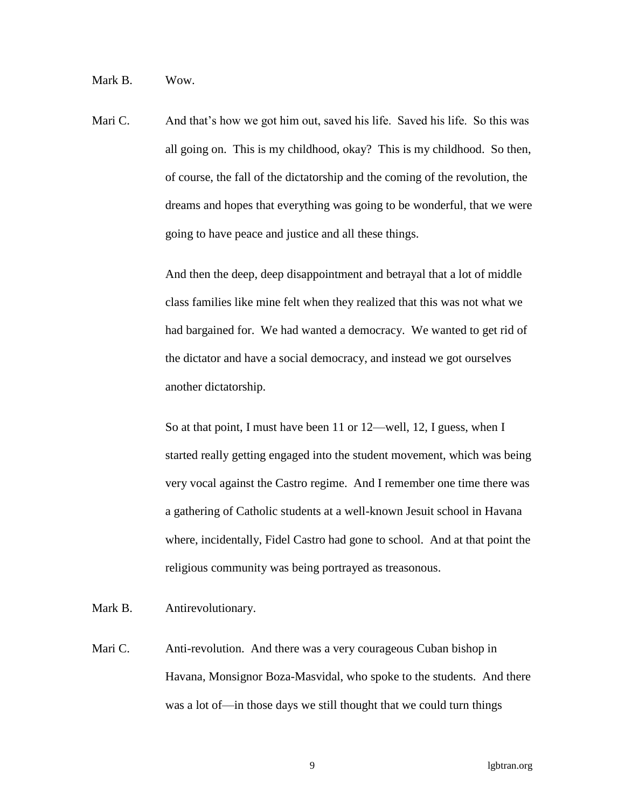Mark B. Wow.

Mari C. And that's how we got him out, saved his life. Saved his life. So this was all going on. This is my childhood, okay? This is my childhood. So then, of course, the fall of the dictatorship and the coming of the revolution, the dreams and hopes that everything was going to be wonderful, that we were going to have peace and justice and all these things.

> And then the deep, deep disappointment and betrayal that a lot of middle class families like mine felt when they realized that this was not what we had bargained for. We had wanted a democracy. We wanted to get rid of the dictator and have a social democracy, and instead we got ourselves another dictatorship.

So at that point, I must have been 11 or 12—well, 12, I guess, when I started really getting engaged into the student movement, which was being very vocal against the Castro regime. And I remember one time there was a gathering of Catholic students at a well-known Jesuit school in Havana where, incidentally, Fidel Castro had gone to school. And at that point the religious community was being portrayed as treasonous.

Mark B. Antirevolutionary.

Mari C. Anti-revolution. And there was a very courageous Cuban bishop in Havana, Monsignor Boza-Masvidal, who spoke to the students. And there was a lot of—in those days we still thought that we could turn things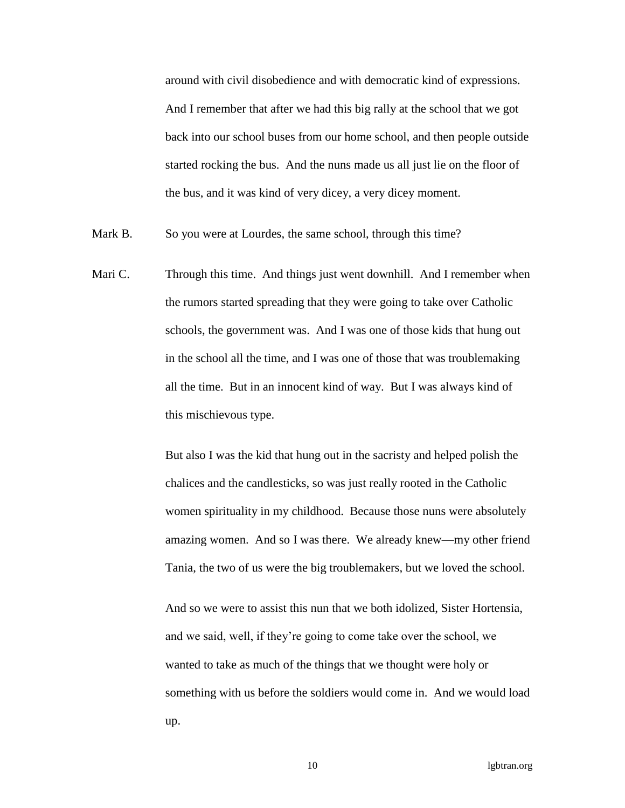around with civil disobedience and with democratic kind of expressions. And I remember that after we had this big rally at the school that we got back into our school buses from our home school, and then people outside started rocking the bus. And the nuns made us all just lie on the floor of the bus, and it was kind of very dicey, a very dicey moment.

- Mark B. So you were at Lourdes, the same school, through this time?
- Mari C. Through this time. And things just went downhill. And I remember when the rumors started spreading that they were going to take over Catholic schools, the government was. And I was one of those kids that hung out in the school all the time, and I was one of those that was troublemaking all the time. But in an innocent kind of way. But I was always kind of this mischievous type.

But also I was the kid that hung out in the sacristy and helped polish the chalices and the candlesticks, so was just really rooted in the Catholic women spirituality in my childhood. Because those nuns were absolutely amazing women. And so I was there. We already knew—my other friend Tania, the two of us were the big troublemakers, but we loved the school.

And so we were to assist this nun that we both idolized, Sister Hortensia, and we said, well, if they're going to come take over the school, we wanted to take as much of the things that we thought were holy or something with us before the soldiers would come in. And we would load up.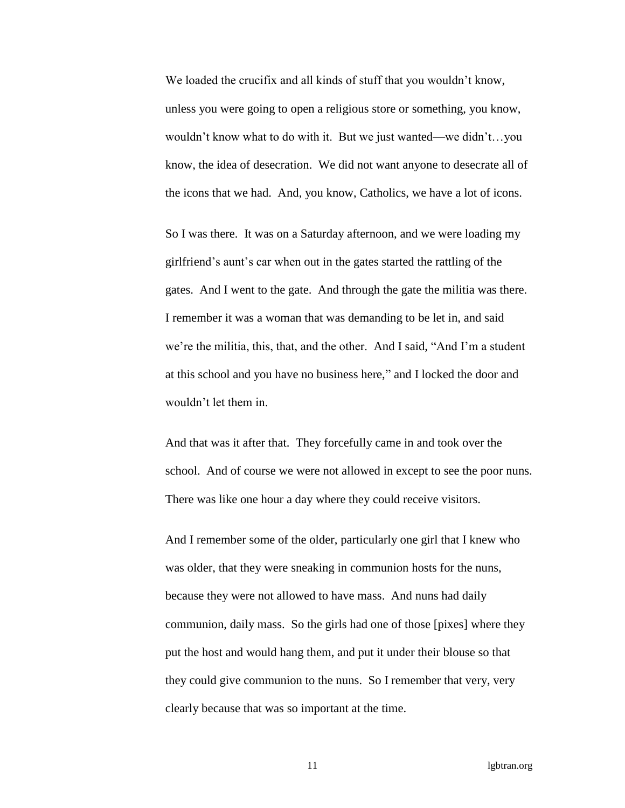We loaded the crucifix and all kinds of stuff that you wouldn't know, unless you were going to open a religious store or something, you know, wouldn't know what to do with it. But we just wanted—we didn't…you know, the idea of desecration. We did not want anyone to desecrate all of the icons that we had. And, you know, Catholics, we have a lot of icons.

So I was there. It was on a Saturday afternoon, and we were loading my girlfriend's aunt's car when out in the gates started the rattling of the gates. And I went to the gate. And through the gate the militia was there. I remember it was a woman that was demanding to be let in, and said we're the militia, this, that, and the other. And I said, "And I'm a student at this school and you have no business here," and I locked the door and wouldn't let them in.

And that was it after that. They forcefully came in and took over the school. And of course we were not allowed in except to see the poor nuns. There was like one hour a day where they could receive visitors.

And I remember some of the older, particularly one girl that I knew who was older, that they were sneaking in communion hosts for the nuns, because they were not allowed to have mass. And nuns had daily communion, daily mass. So the girls had one of those [pixes] where they put the host and would hang them, and put it under their blouse so that they could give communion to the nuns. So I remember that very, very clearly because that was so important at the time.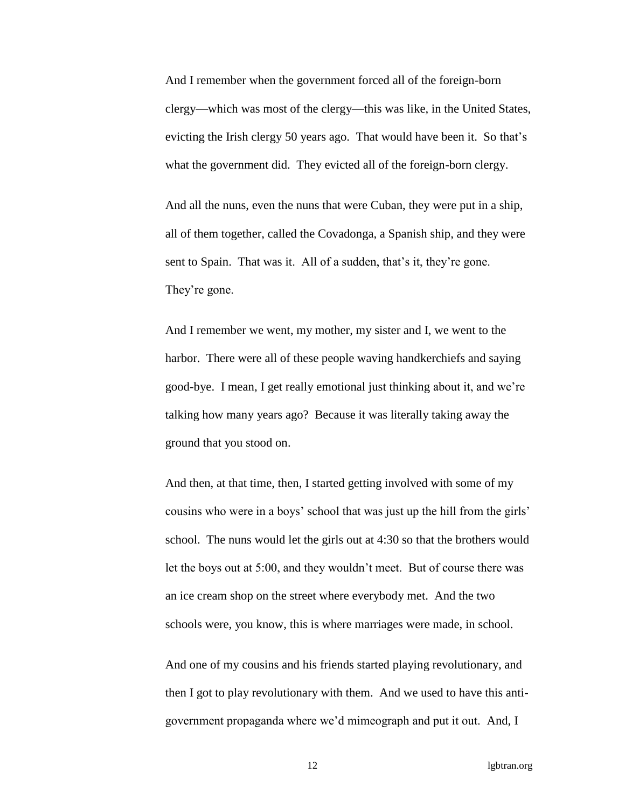And I remember when the government forced all of the foreign-born clergy—which was most of the clergy—this was like, in the United States, evicting the Irish clergy 50 years ago. That would have been it. So that's what the government did. They evicted all of the foreign-born clergy.

And all the nuns, even the nuns that were Cuban, they were put in a ship, all of them together, called the Covadonga, a Spanish ship, and they were sent to Spain. That was it. All of a sudden, that's it, they're gone. They're gone.

And I remember we went, my mother, my sister and I, we went to the harbor. There were all of these people waving handkerchiefs and saying good-bye. I mean, I get really emotional just thinking about it, and we're talking how many years ago? Because it was literally taking away the ground that you stood on.

And then, at that time, then, I started getting involved with some of my cousins who were in a boys' school that was just up the hill from the girls' school. The nuns would let the girls out at 4:30 so that the brothers would let the boys out at 5:00, and they wouldn't meet. But of course there was an ice cream shop on the street where everybody met. And the two schools were, you know, this is where marriages were made, in school.

And one of my cousins and his friends started playing revolutionary, and then I got to play revolutionary with them. And we used to have this antigovernment propaganda where we'd mimeograph and put it out. And, I

12 lgbtran.org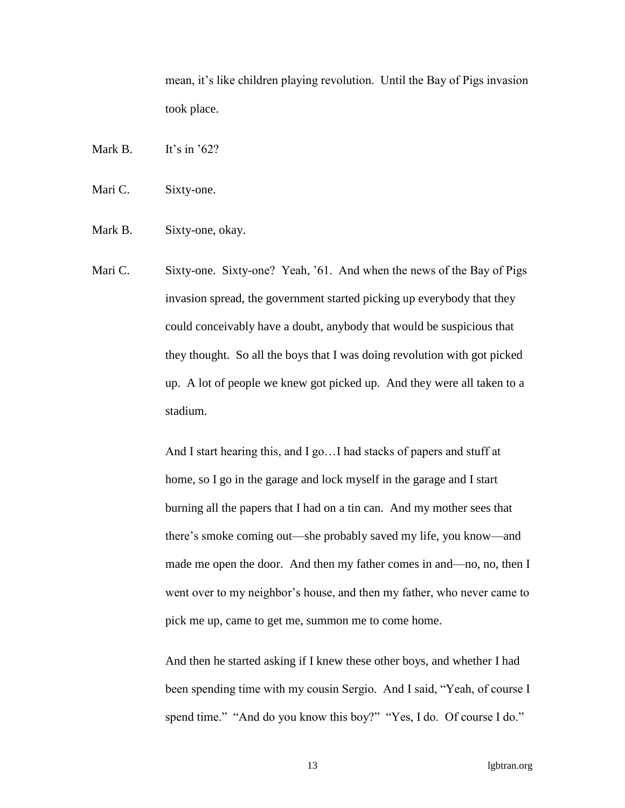mean, it's like children playing revolution. Until the Bay of Pigs invasion took place.

Mark B. It's in '62?

Mari C. Sixty-one.

Mark B. Sixty-one, okay.

Mari C. Sixty-one. Sixty-one? Yeah, '61. And when the news of the Bay of Pigs invasion spread, the government started picking up everybody that they could conceivably have a doubt, anybody that would be suspicious that they thought. So all the boys that I was doing revolution with got picked up. A lot of people we knew got picked up. And they were all taken to a stadium.

> And I start hearing this, and I go…I had stacks of papers and stuff at home, so I go in the garage and lock myself in the garage and I start burning all the papers that I had on a tin can. And my mother sees that there's smoke coming out—she probably saved my life, you know—and made me open the door. And then my father comes in and—no, no, then I went over to my neighbor's house, and then my father, who never came to pick me up, came to get me, summon me to come home.

> And then he started asking if I knew these other boys, and whether I had been spending time with my cousin Sergio. And I said, "Yeah, of course I spend time." "And do you know this boy?" "Yes, I do. Of course I do."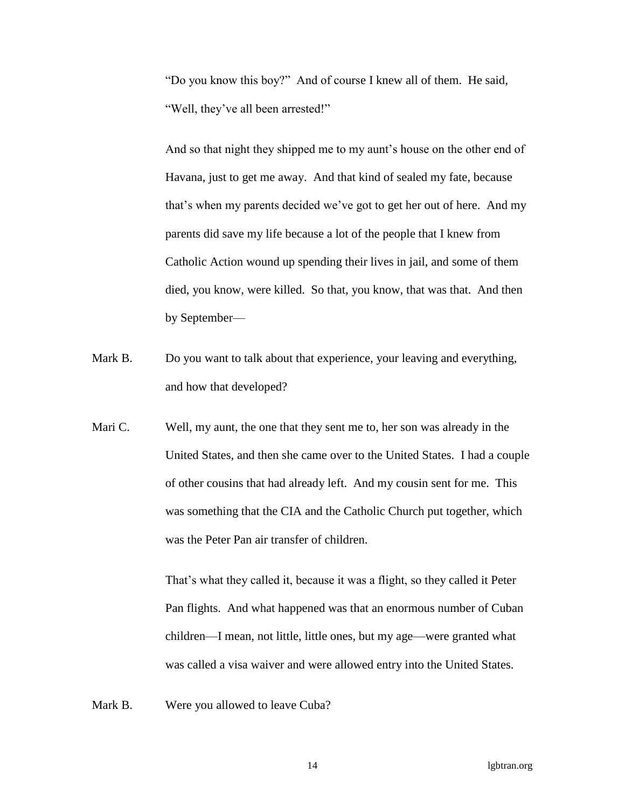"Do you know this boy?" And of course I knew all of them. He said, "Well, they've all been arrested!"

And so that night they shipped me to my aunt's house on the other end of Havana, just to get me away. And that kind of sealed my fate, because that's when my parents decided we've got to get her out of here. And my parents did save my life because a lot of the people that I knew from Catholic Action wound up spending their lives in jail, and some of them died, you know, were killed. So that, you know, that was that. And then by September—

- Mark B. Do you want to talk about that experience, your leaving and everything, and how that developed?
- Mari C. Well, my aunt, the one that they sent me to, her son was already in the United States, and then she came over to the United States. I had a couple of other cousins that had already left. And my cousin sent for me. This was something that the CIA and the Catholic Church put together, which was the Peter Pan air transfer of children.

That's what they called it, because it was a flight, so they called it Peter Pan flights. And what happened was that an enormous number of Cuban children—I mean, not little, little ones, but my age—were granted what was called a visa waiver and were allowed entry into the United States.

Mark B. Were you allowed to leave Cuba?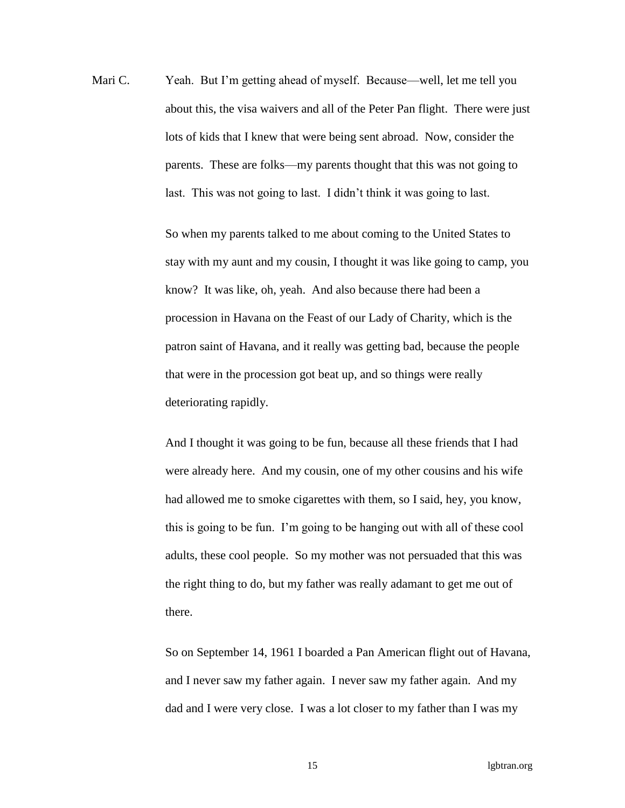Mari C. Yeah. But I'm getting ahead of myself. Because—well, let me tell you about this, the visa waivers and all of the Peter Pan flight. There were just lots of kids that I knew that were being sent abroad. Now, consider the parents. These are folks—my parents thought that this was not going to last. This was not going to last. I didn't think it was going to last.

> So when my parents talked to me about coming to the United States to stay with my aunt and my cousin, I thought it was like going to camp, you know? It was like, oh, yeah. And also because there had been a procession in Havana on the Feast of our Lady of Charity, which is the patron saint of Havana, and it really was getting bad, because the people that were in the procession got beat up, and so things were really deteriorating rapidly.

And I thought it was going to be fun, because all these friends that I had were already here. And my cousin, one of my other cousins and his wife had allowed me to smoke cigarettes with them, so I said, hey, you know, this is going to be fun. I'm going to be hanging out with all of these cool adults, these cool people. So my mother was not persuaded that this was the right thing to do, but my father was really adamant to get me out of there.

So on September 14, 1961 I boarded a Pan American flight out of Havana, and I never saw my father again. I never saw my father again. And my dad and I were very close. I was a lot closer to my father than I was my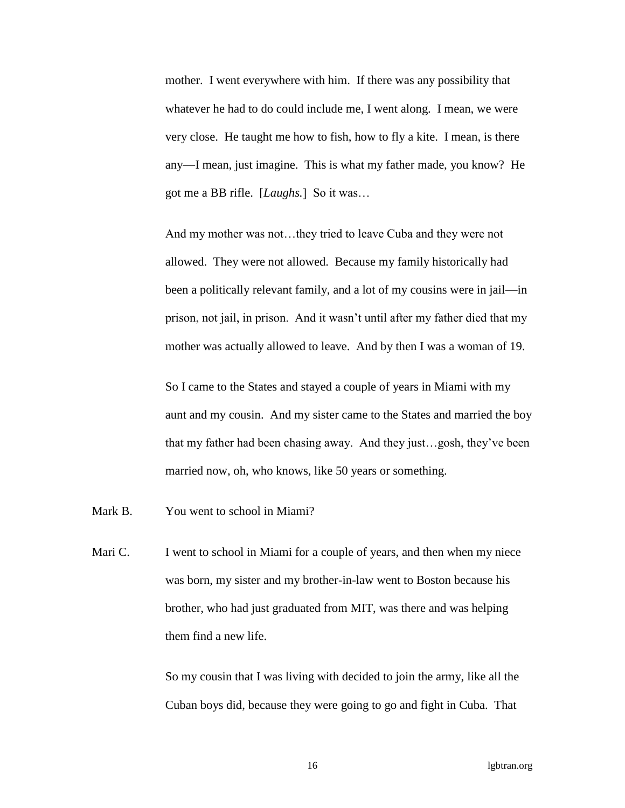mother. I went everywhere with him. If there was any possibility that whatever he had to do could include me, I went along. I mean, we were very close. He taught me how to fish, how to fly a kite. I mean, is there any—I mean, just imagine. This is what my father made, you know? He got me a BB rifle. [*Laughs.*] So it was…

And my mother was not…they tried to leave Cuba and they were not allowed. They were not allowed. Because my family historically had been a politically relevant family, and a lot of my cousins were in jail—in prison, not jail, in prison. And it wasn't until after my father died that my mother was actually allowed to leave. And by then I was a woman of 19.

So I came to the States and stayed a couple of years in Miami with my aunt and my cousin. And my sister came to the States and married the boy that my father had been chasing away. And they just…gosh, they've been married now, oh, who knows, like 50 years or something.

Mark B. You went to school in Miami?

Mari C. I went to school in Miami for a couple of years, and then when my niece was born, my sister and my brother-in-law went to Boston because his brother, who had just graduated from MIT, was there and was helping them find a new life.

> So my cousin that I was living with decided to join the army, like all the Cuban boys did, because they were going to go and fight in Cuba. That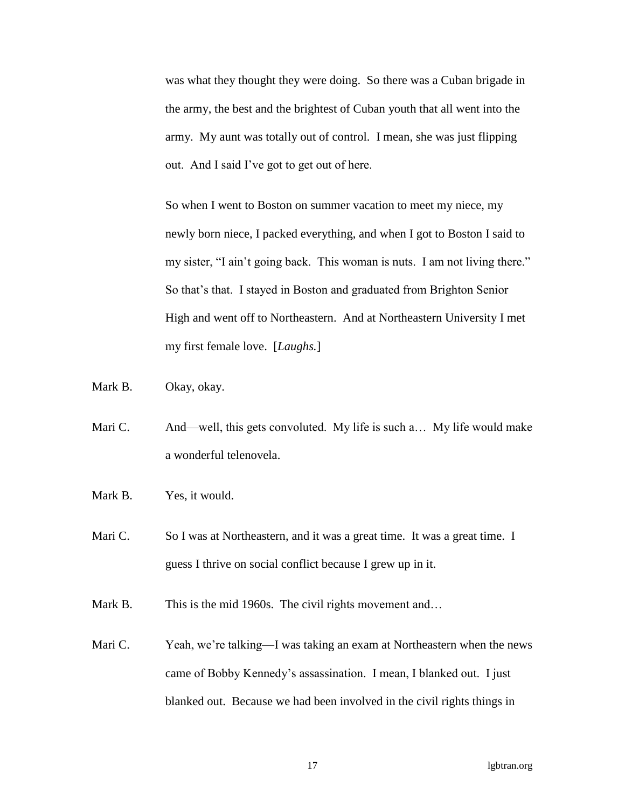was what they thought they were doing. So there was a Cuban brigade in the army, the best and the brightest of Cuban youth that all went into the army. My aunt was totally out of control. I mean, she was just flipping out. And I said I've got to get out of here.

So when I went to Boston on summer vacation to meet my niece, my newly born niece, I packed everything, and when I got to Boston I said to my sister, "I ain't going back. This woman is nuts. I am not living there." So that's that. I stayed in Boston and graduated from Brighton Senior High and went off to Northeastern. And at Northeastern University I met my first female love. [*Laughs.*]

Mark B. Okay, okay.

- Mari C. And—well, this gets convoluted. My life is such a... My life would make a wonderful telenovela.
- Mark B. Yes, it would.

Mari C. So I was at Northeastern, and it was a great time. It was a great time. I guess I thrive on social conflict because I grew up in it.

Mark B. This is the mid 1960s. The civil rights movement and…

Mari C. Yeah, we're talking—I was taking an exam at Northeastern when the news came of Bobby Kennedy's assassination. I mean, I blanked out. I just blanked out. Because we had been involved in the civil rights things in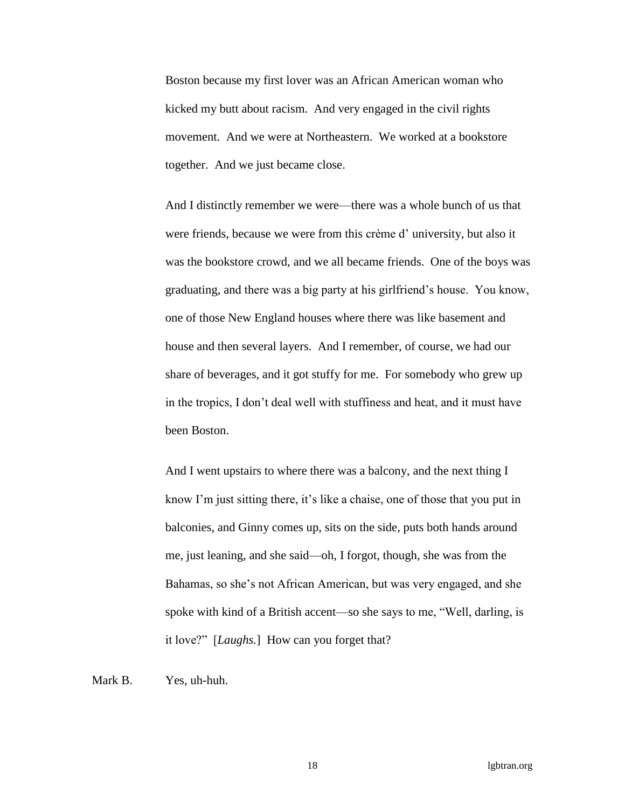Boston because my first lover was an African American woman who kicked my butt about racism. And very engaged in the civil rights movement. And we were at Northeastern. We worked at a bookstore together. And we just became close.

And I distinctly remember we were—there was a whole bunch of us that were friends, because we were from this crème d' university, but also it was the bookstore crowd, and we all became friends. One of the boys was graduating, and there was a big party at his girlfriend's house. You know, one of those New England houses where there was like basement and house and then several layers. And I remember, of course, we had our share of beverages, and it got stuffy for me. For somebody who grew up in the tropics, I don't deal well with stuffiness and heat, and it must have been Boston.

And I went upstairs to where there was a balcony, and the next thing I know I'm just sitting there, it's like a chaise, one of those that you put in balconies, and Ginny comes up, sits on the side, puts both hands around me, just leaning, and she said—oh, I forgot, though, she was from the Bahamas, so she's not African American, but was very engaged, and she spoke with kind of a British accent—so she says to me, "Well, darling, is it love?" [*Laughs.*] How can you forget that?

Mark B. Yes, uh-huh.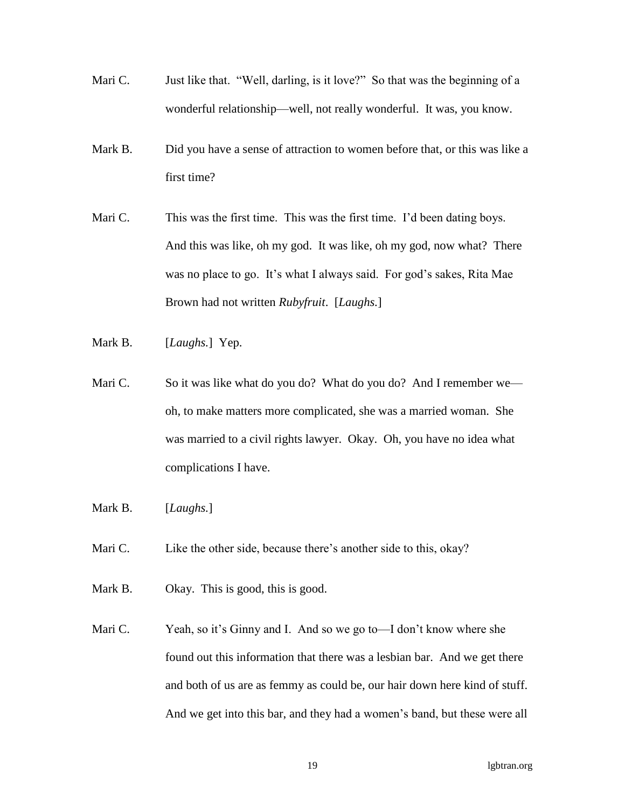- Mari C. Just like that. "Well, darling, is it love?" So that was the beginning of a wonderful relationship—well, not really wonderful. It was, you know.
- Mark B. Did you have a sense of attraction to women before that, or this was like a first time?
- Mari C. This was the first time. This was the first time. I'd been dating boys. And this was like, oh my god. It was like, oh my god, now what? There was no place to go. It's what I always said. For god's sakes, Rita Mae Brown had not written *Rubyfruit*. [*Laughs.*]
- Mark B. [*Laughs.*] Yep.
- Mari C. So it was like what do you do? What do you do? And I remember we oh, to make matters more complicated, she was a married woman. She was married to a civil rights lawyer. Okay. Oh, you have no idea what complications I have.
- Mark B. [*Laughs.*]
- Mari C. Like the other side, because there's another side to this, okay?
- Mark B. Okay. This is good, this is good.
- Mari C. Yeah, so it's Ginny and I. And so we go to—I don't know where she found out this information that there was a lesbian bar. And we get there and both of us are as femmy as could be, our hair down here kind of stuff. And we get into this bar, and they had a women's band, but these were all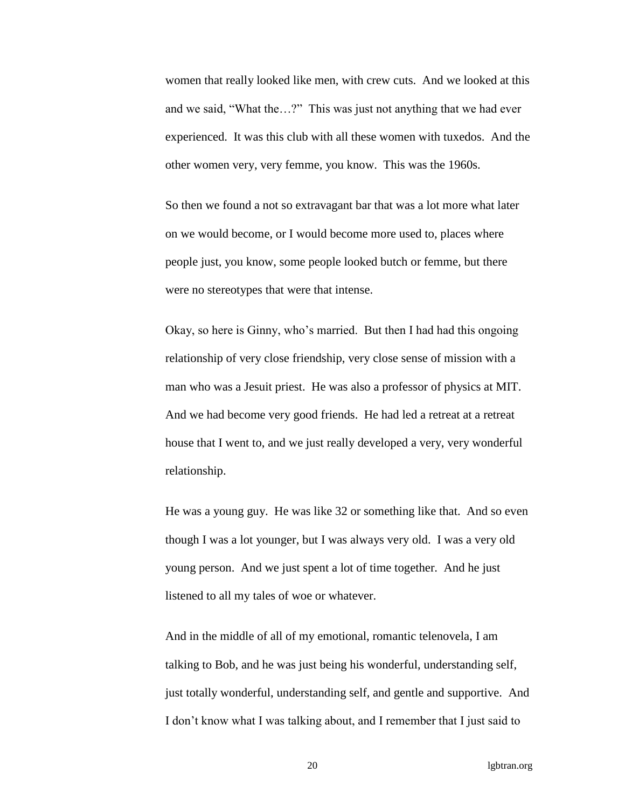women that really looked like men, with crew cuts. And we looked at this and we said, "What the…?" This was just not anything that we had ever experienced. It was this club with all these women with tuxedos. And the other women very, very femme, you know. This was the 1960s.

So then we found a not so extravagant bar that was a lot more what later on we would become, or I would become more used to, places where people just, you know, some people looked butch or femme, but there were no stereotypes that were that intense.

Okay, so here is Ginny, who's married. But then I had had this ongoing relationship of very close friendship, very close sense of mission with a man who was a Jesuit priest. He was also a professor of physics at MIT. And we had become very good friends. He had led a retreat at a retreat house that I went to, and we just really developed a very, very wonderful relationship.

He was a young guy. He was like 32 or something like that. And so even though I was a lot younger, but I was always very old. I was a very old young person. And we just spent a lot of time together. And he just listened to all my tales of woe or whatever.

And in the middle of all of my emotional, romantic telenovela, I am talking to Bob, and he was just being his wonderful, understanding self, just totally wonderful, understanding self, and gentle and supportive. And I don't know what I was talking about, and I remember that I just said to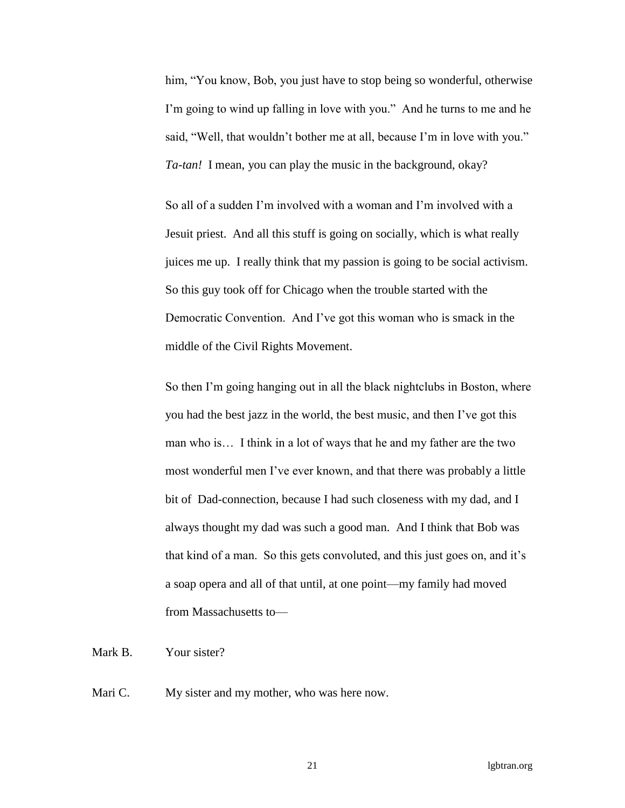him, "You know, Bob, you just have to stop being so wonderful, otherwise I'm going to wind up falling in love with you." And he turns to me and he said, "Well, that wouldn't bother me at all, because I'm in love with you." *Ta-tan!* I mean, you can play the music in the background, okay?

So all of a sudden I'm involved with a woman and I'm involved with a Jesuit priest. And all this stuff is going on socially, which is what really juices me up. I really think that my passion is going to be social activism. So this guy took off for Chicago when the trouble started with the Democratic Convention. And I've got this woman who is smack in the middle of the Civil Rights Movement.

So then I'm going hanging out in all the black nightclubs in Boston, where you had the best jazz in the world, the best music, and then I've got this man who is… I think in a lot of ways that he and my father are the two most wonderful men I've ever known, and that there was probably a little bit of Dad-connection, because I had such closeness with my dad, and I always thought my dad was such a good man. And I think that Bob was that kind of a man. So this gets convoluted, and this just goes on, and it's a soap opera and all of that until, at one point—my family had moved from Massachusetts to—

Mark B. Your sister?

Mari C. My sister and my mother, who was here now.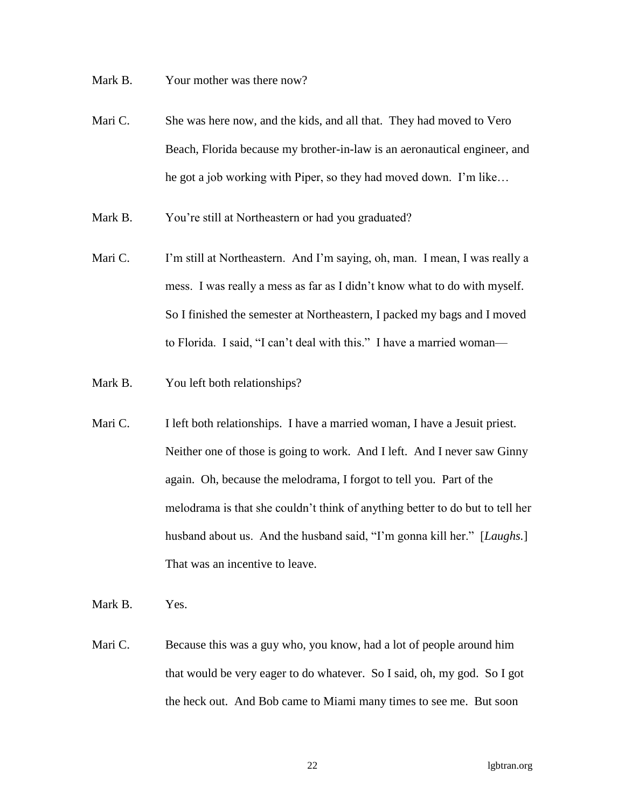Mark B. Your mother was there now?

- Mari C. She was here now, and the kids, and all that. They had moved to Vero Beach, Florida because my brother-in-law is an aeronautical engineer, and he got a job working with Piper, so they had moved down. I'm like…
- Mark B. You're still at Northeastern or had you graduated?
- Mari C. I'm still at Northeastern. And I'm saying, oh, man. I mean, I was really a mess. I was really a mess as far as I didn't know what to do with myself. So I finished the semester at Northeastern, I packed my bags and I moved to Florida. I said, "I can't deal with this." I have a married woman—
- Mark B. You left both relationships?
- Mari C. I left both relationships. I have a married woman, I have a Jesuit priest. Neither one of those is going to work. And I left. And I never saw Ginny again. Oh, because the melodrama, I forgot to tell you. Part of the melodrama is that she couldn't think of anything better to do but to tell her husband about us. And the husband said, "I'm gonna kill her." [*Laughs.*] That was an incentive to leave.
- Mark B. Yes.
- Mari C. Because this was a guy who, you know, had a lot of people around him that would be very eager to do whatever. So I said, oh, my god. So I got the heck out. And Bob came to Miami many times to see me. But soon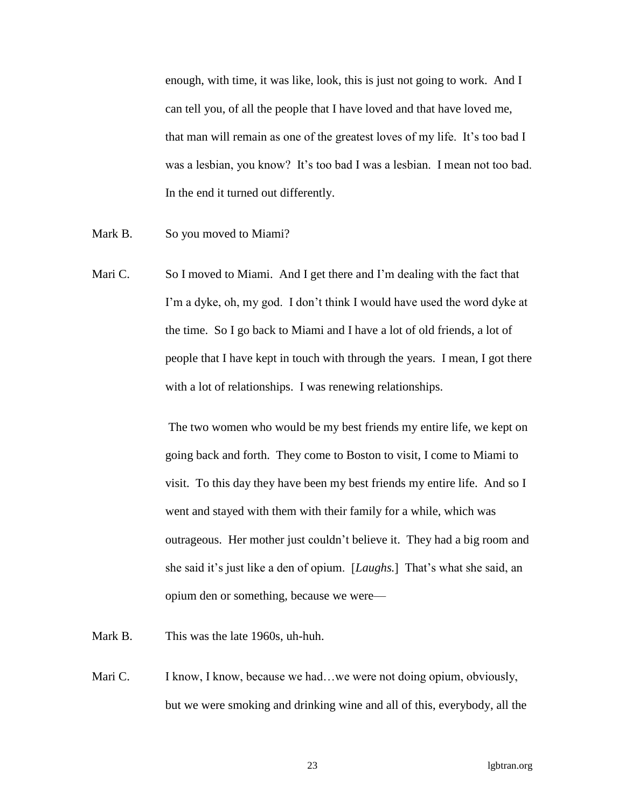enough, with time, it was like, look, this is just not going to work. And I can tell you, of all the people that I have loved and that have loved me, that man will remain as one of the greatest loves of my life. It's too bad I was a lesbian, you know? It's too bad I was a lesbian. I mean not too bad. In the end it turned out differently.

- Mark B. So you moved to Miami?
- Mari C. So I moved to Miami. And I get there and I'm dealing with the fact that I'm a dyke, oh, my god. I don't think I would have used the word dyke at the time. So I go back to Miami and I have a lot of old friends, a lot of people that I have kept in touch with through the years. I mean, I got there with a lot of relationships. I was renewing relationships.

The two women who would be my best friends my entire life, we kept on going back and forth. They come to Boston to visit, I come to Miami to visit. To this day they have been my best friends my entire life. And so I went and stayed with them with their family for a while, which was outrageous. Her mother just couldn't believe it. They had a big room and she said it's just like a den of opium. [*Laughs.*] That's what she said, an opium den or something, because we were—

- Mark B. This was the late 1960s, uh-huh.
- Mari C. I know, I know, because we had...we were not doing opium, obviously, but we were smoking and drinking wine and all of this, everybody, all the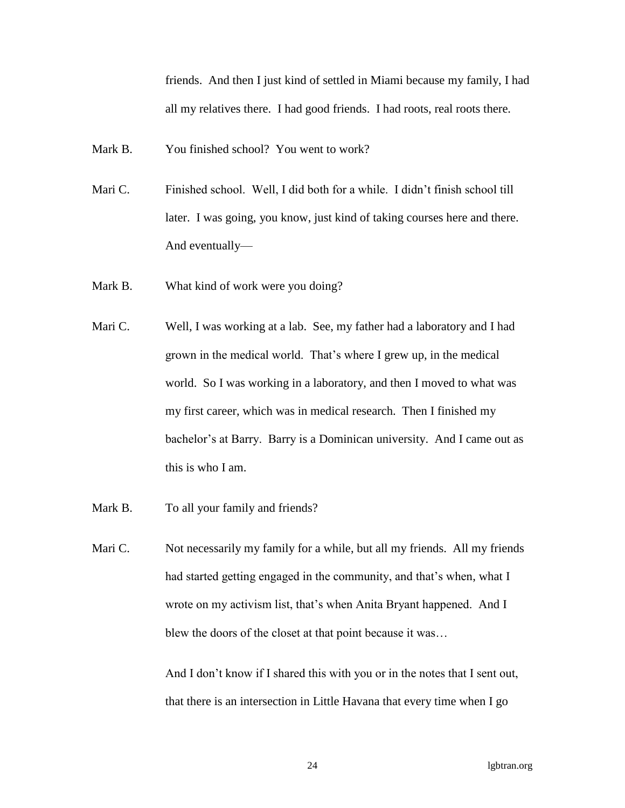friends. And then I just kind of settled in Miami because my family, I had all my relatives there. I had good friends. I had roots, real roots there.

Mark B. You finished school? You went to work?

- Mari C. Finished school. Well, I did both for a while. I didn't finish school till later. I was going, you know, just kind of taking courses here and there. And eventually—
- Mark B. What kind of work were you doing?
- Mari C. Well, I was working at a lab. See, my father had a laboratory and I had grown in the medical world. That's where I grew up, in the medical world. So I was working in a laboratory, and then I moved to what was my first career, which was in medical research. Then I finished my bachelor's at Barry. Barry is a Dominican university. And I came out as this is who I am.
- Mark B. To all your family and friends?
- Mari C. Not necessarily my family for a while, but all my friends. All my friends had started getting engaged in the community, and that's when, what I wrote on my activism list, that's when Anita Bryant happened. And I blew the doors of the closet at that point because it was…

And I don't know if I shared this with you or in the notes that I sent out, that there is an intersection in Little Havana that every time when I go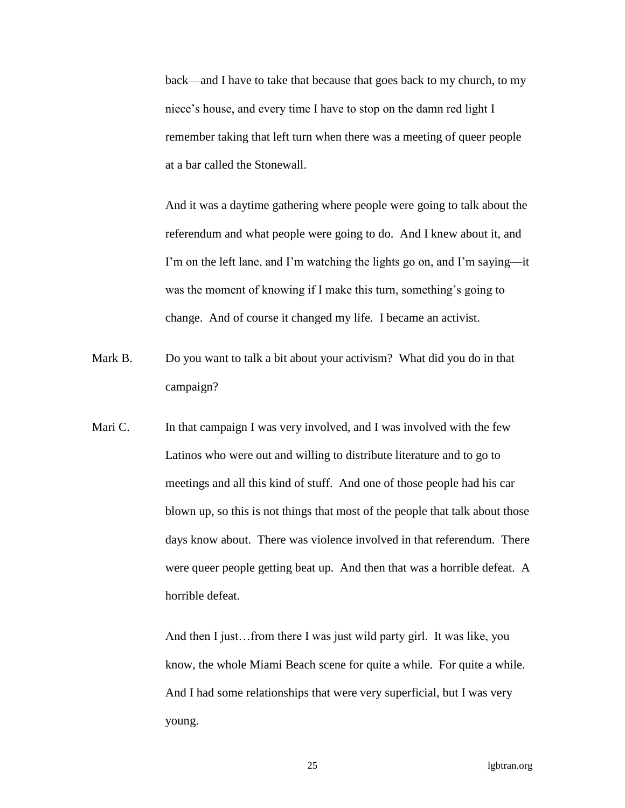back—and I have to take that because that goes back to my church, to my niece's house, and every time I have to stop on the damn red light I remember taking that left turn when there was a meeting of queer people at a bar called the Stonewall.

And it was a daytime gathering where people were going to talk about the referendum and what people were going to do. And I knew about it, and I'm on the left lane, and I'm watching the lights go on, and I'm saying—it was the moment of knowing if I make this turn, something's going to change. And of course it changed my life. I became an activist.

- Mark B. Do you want to talk a bit about your activism? What did you do in that campaign?
- Mari C. In that campaign I was very involved, and I was involved with the few Latinos who were out and willing to distribute literature and to go to meetings and all this kind of stuff. And one of those people had his car blown up, so this is not things that most of the people that talk about those days know about. There was violence involved in that referendum. There were queer people getting beat up. And then that was a horrible defeat. A horrible defeat.

And then I just…from there I was just wild party girl. It was like, you know, the whole Miami Beach scene for quite a while. For quite a while. And I had some relationships that were very superficial, but I was very young.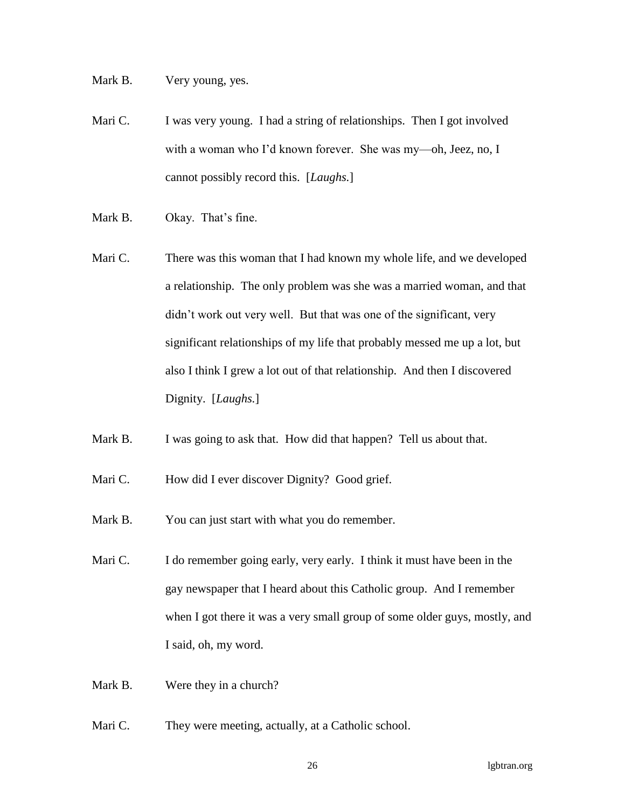Mark B. Very young, yes.

- Mari C. I was very young. I had a string of relationships. Then I got involved with a woman who I'd known forever. She was my—oh, Jeez, no, I cannot possibly record this. [*Laughs.*]
- Mark B. Okay. That's fine.
- Mari C. There was this woman that I had known my whole life, and we developed a relationship. The only problem was she was a married woman, and that didn't work out very well. But that was one of the significant, very significant relationships of my life that probably messed me up a lot, but also I think I grew a lot out of that relationship. And then I discovered Dignity. [*Laughs.*]
- Mark B. I was going to ask that. How did that happen? Tell us about that.
- Mari C. How did I ever discover Dignity? Good grief.
- Mark B. You can just start with what you do remember.
- Mari C. I do remember going early, very early. I think it must have been in the gay newspaper that I heard about this Catholic group. And I remember when I got there it was a very small group of some older guys, mostly, and I said, oh, my word.
- Mark B. Were they in a church?
- Mari C. They were meeting, actually, at a Catholic school.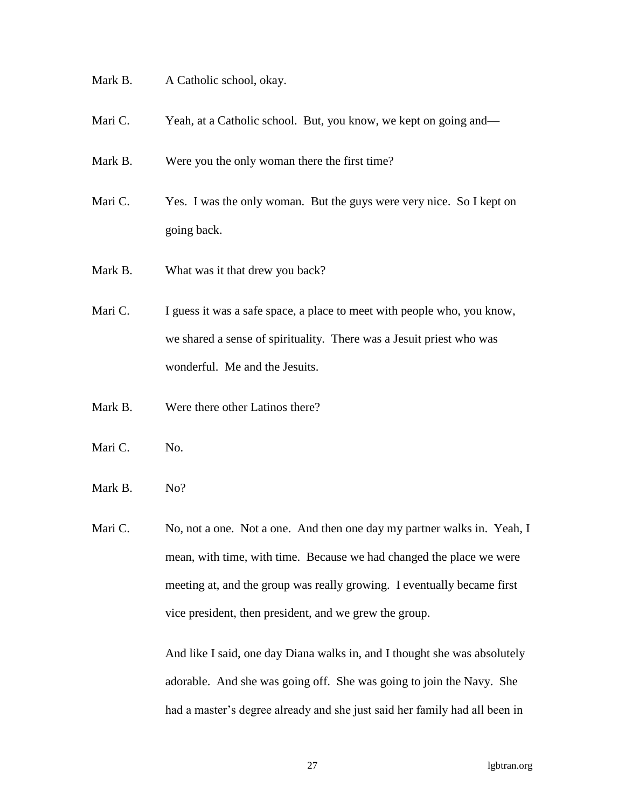- Mark B. A Catholic school, okay.
- Mari C. Yeah, at a Catholic school. But, you know, we kept on going and—
- Mark B. Were you the only woman there the first time?
- Mari C. Yes. I was the only woman. But the guys were very nice. So I kept on going back.
- Mark B. What was it that drew you back?
- Mari C. I guess it was a safe space, a place to meet with people who, you know, we shared a sense of spirituality. There was a Jesuit priest who was wonderful. Me and the Jesuits.
- Mark B. Were there other Latinos there?
- Mari C. No.
- Mark B. No?
- Mari C. No, not a one. Not a one. And then one day my partner walks in. Yeah, I mean, with time, with time. Because we had changed the place we were meeting at, and the group was really growing. I eventually became first vice president, then president, and we grew the group.

And like I said, one day Diana walks in, and I thought she was absolutely adorable. And she was going off. She was going to join the Navy. She had a master's degree already and she just said her family had all been in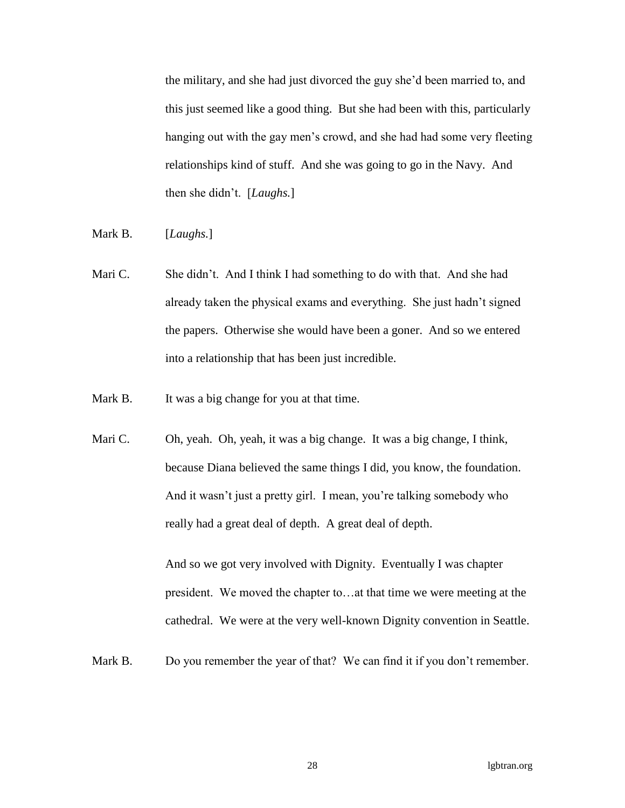the military, and she had just divorced the guy she'd been married to, and this just seemed like a good thing. But she had been with this, particularly hanging out with the gay men's crowd, and she had had some very fleeting relationships kind of stuff. And she was going to go in the Navy. And then she didn't. [*Laughs.*]

- Mark B. [*Laughs.*]
- Mari C. She didn't. And I think I had something to do with that. And she had already taken the physical exams and everything. She just hadn't signed the papers. Otherwise she would have been a goner. And so we entered into a relationship that has been just incredible.
- Mark B. It was a big change for you at that time.
- Mari C. Oh, yeah. Oh, yeah, it was a big change. It was a big change, I think, because Diana believed the same things I did, you know, the foundation. And it wasn't just a pretty girl. I mean, you're talking somebody who really had a great deal of depth. A great deal of depth.

And so we got very involved with Dignity. Eventually I was chapter president. We moved the chapter to…at that time we were meeting at the cathedral. We were at the very well-known Dignity convention in Seattle.

Mark B. Do you remember the year of that? We can find it if you don't remember.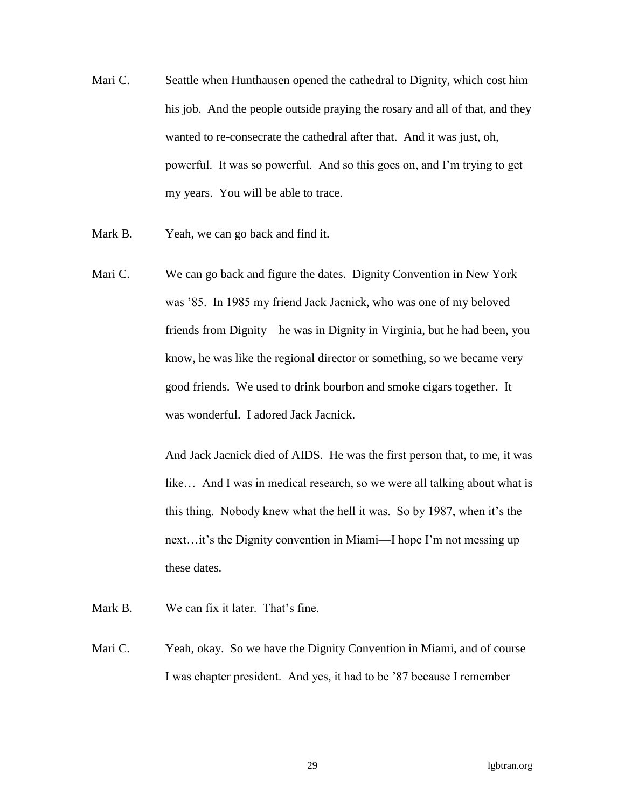- Mari C. Seattle when Hunthausen opened the cathedral to Dignity, which cost him his job. And the people outside praying the rosary and all of that, and they wanted to re-consecrate the cathedral after that. And it was just, oh, powerful. It was so powerful. And so this goes on, and I'm trying to get my years. You will be able to trace.
- Mark B. Yeah, we can go back and find it.
- Mari C. We can go back and figure the dates. Dignity Convention in New York was '85. In 1985 my friend Jack Jacnick, who was one of my beloved friends from Dignity—he was in Dignity in Virginia, but he had been, you know, he was like the regional director or something, so we became very good friends. We used to drink bourbon and smoke cigars together. It was wonderful. I adored Jack Jacnick.

And Jack Jacnick died of AIDS. He was the first person that, to me, it was like... And I was in medical research, so we were all talking about what is this thing. Nobody knew what the hell it was. So by 1987, when it's the next…it's the Dignity convention in Miami—I hope I'm not messing up these dates.

- Mark B. We can fix it later. That's fine.
- Mari C. Yeah, okay. So we have the Dignity Convention in Miami, and of course I was chapter president. And yes, it had to be '87 because I remember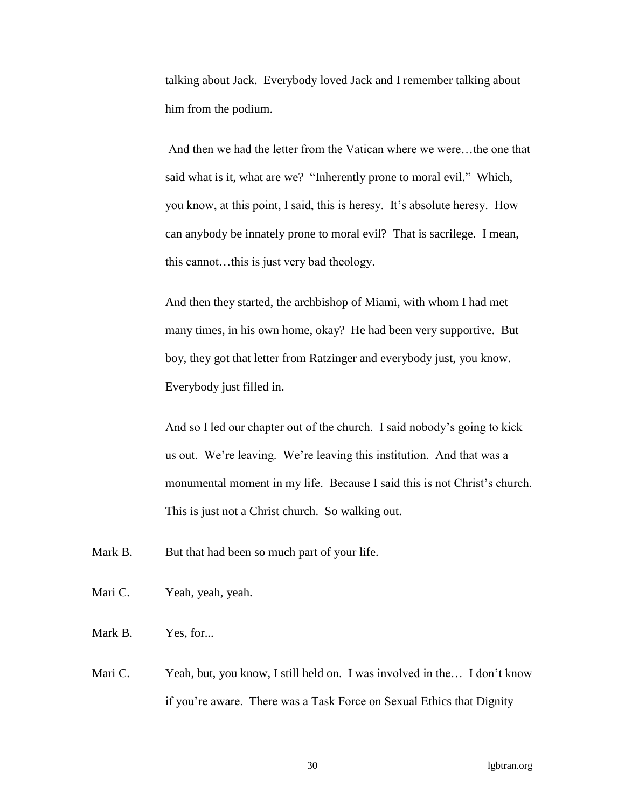talking about Jack. Everybody loved Jack and I remember talking about him from the podium.

And then we had the letter from the Vatican where we were…the one that said what is it, what are we? "Inherently prone to moral evil." Which, you know, at this point, I said, this is heresy. It's absolute heresy. How can anybody be innately prone to moral evil? That is sacrilege. I mean, this cannot…this is just very bad theology.

And then they started, the archbishop of Miami, with whom I had met many times, in his own home, okay? He had been very supportive. But boy, they got that letter from Ratzinger and everybody just, you know. Everybody just filled in.

And so I led our chapter out of the church. I said nobody's going to kick us out. We're leaving. We're leaving this institution. And that was a monumental moment in my life. Because I said this is not Christ's church. This is just not a Christ church. So walking out.

- Mark B. But that had been so much part of your life.
- Mari C. Yeah, yeah, yeah.
- Mark B. Yes, for...
- Mari C. Yeah, but, you know, I still held on. I was involved in the... I don't know if you're aware. There was a Task Force on Sexual Ethics that Dignity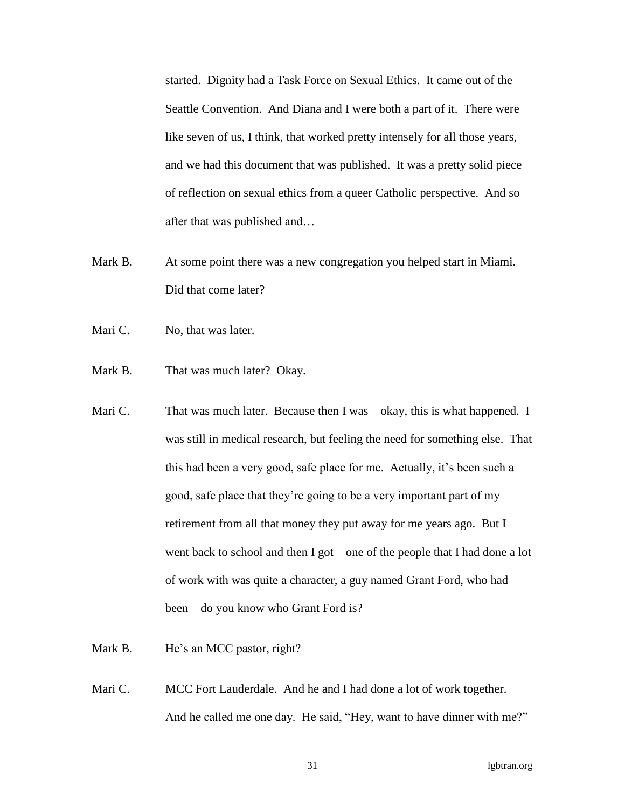started. Dignity had a Task Force on Sexual Ethics. It came out of the Seattle Convention. And Diana and I were both a part of it. There were like seven of us, I think, that worked pretty intensely for all those years, and we had this document that was published. It was a pretty solid piece of reflection on sexual ethics from a queer Catholic perspective. And so after that was published and…

- Mark B. At some point there was a new congregation you helped start in Miami. Did that come later?
- Mari C. No, that was later.
- Mark B. That was much later? Okay.
- Mari C. That was much later. Because then I was—okay, this is what happened. I was still in medical research, but feeling the need for something else. That this had been a very good, safe place for me. Actually, it's been such a good, safe place that they're going to be a very important part of my retirement from all that money they put away for me years ago. But I went back to school and then I got—one of the people that I had done a lot of work with was quite a character, a guy named Grant Ford, who had been—do you know who Grant Ford is?
- Mark B. He's an MCC pastor, right?
- Mari C. MCC Fort Lauderdale. And he and I had done a lot of work together. And he called me one day. He said, "Hey, want to have dinner with me?"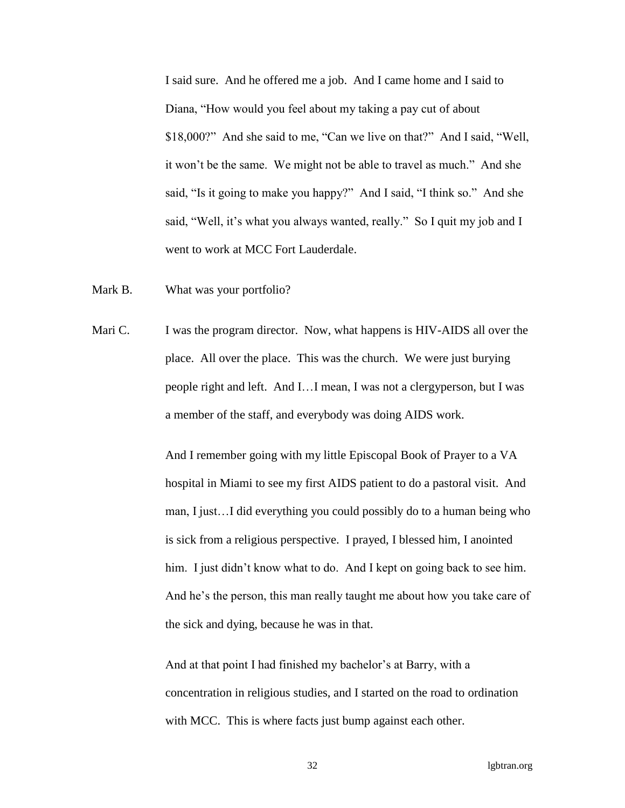I said sure. And he offered me a job. And I came home and I said to Diana, "How would you feel about my taking a pay cut of about \$18,000?" And she said to me, "Can we live on that?" And I said, "Well, it won't be the same. We might not be able to travel as much." And she said, "Is it going to make you happy?" And I said, "I think so." And she said, "Well, it's what you always wanted, really." So I quit my job and I went to work at MCC Fort Lauderdale.

- Mark B. What was your portfolio?
- Mari C. I was the program director. Now, what happens is HIV-AIDS all over the place. All over the place. This was the church. We were just burying people right and left. And I…I mean, I was not a clergyperson, but I was a member of the staff, and everybody was doing AIDS work.

And I remember going with my little Episcopal Book of Prayer to a VA hospital in Miami to see my first AIDS patient to do a pastoral visit. And man, I just…I did everything you could possibly do to a human being who is sick from a religious perspective. I prayed, I blessed him, I anointed him. I just didn't know what to do. And I kept on going back to see him. And he's the person, this man really taught me about how you take care of the sick and dying, because he was in that.

And at that point I had finished my bachelor's at Barry, with a concentration in religious studies, and I started on the road to ordination with MCC. This is where facts just bump against each other.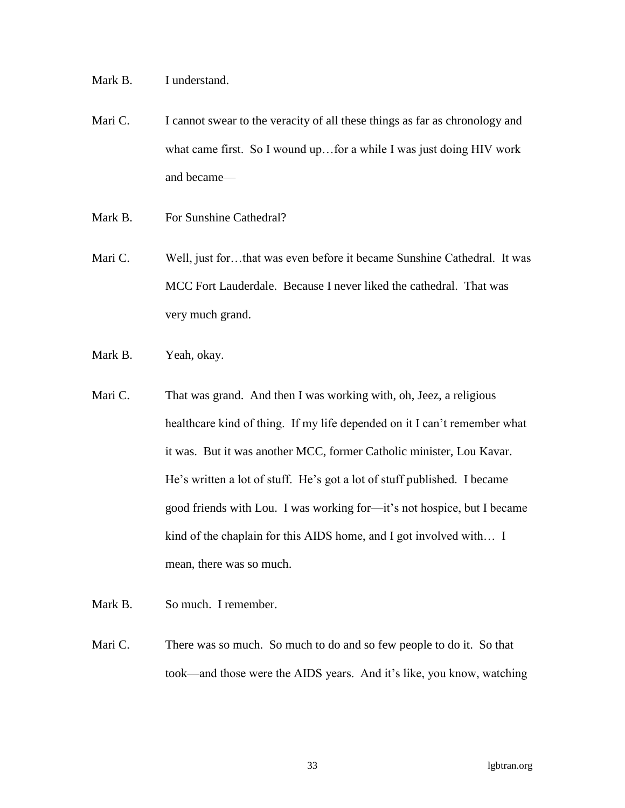Mark B. I understand.

- Mari C. I cannot swear to the veracity of all these things as far as chronology and what came first. So I wound up…for a while I was just doing HIV work and became—
- Mark B. For Sunshine Cathedral?
- Mari C. Well, just for...that was even before it became Sunshine Cathedral. It was MCC Fort Lauderdale. Because I never liked the cathedral. That was very much grand.
- Mark B. Yeah, okay.
- Mari C. That was grand. And then I was working with, oh, Jeez, a religious healthcare kind of thing. If my life depended on it I can't remember what it was. But it was another MCC, former Catholic minister, Lou Kavar. He's written a lot of stuff. He's got a lot of stuff published. I became good friends with Lou. I was working for—it's not hospice, but I became kind of the chaplain for this AIDS home, and I got involved with… I mean, there was so much.
- Mark B. So much. I remember.
- Mari C. There was so much. So much to do and so few people to do it. So that took—and those were the AIDS years. And it's like, you know, watching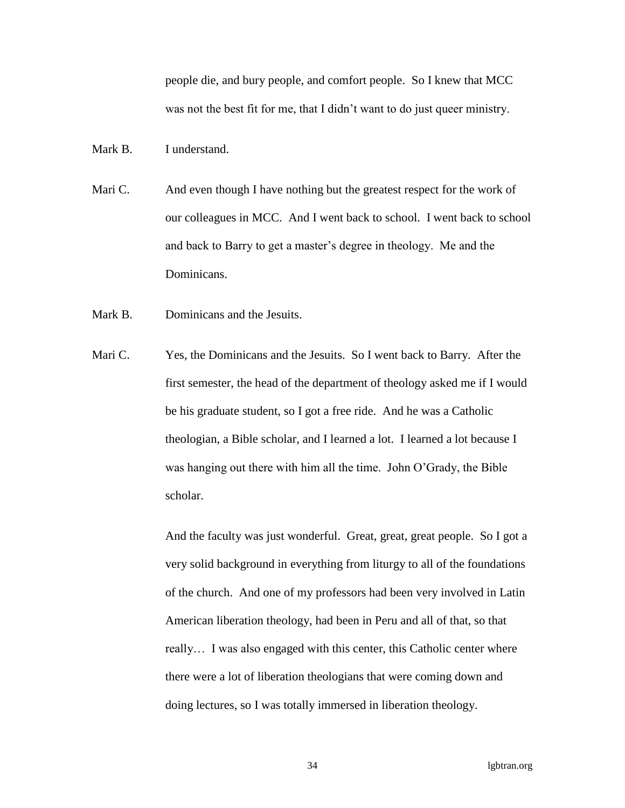people die, and bury people, and comfort people. So I knew that MCC was not the best fit for me, that I didn't want to do just queer ministry.

Mark B. I understand.

- Mari C. And even though I have nothing but the greatest respect for the work of our colleagues in MCC. And I went back to school. I went back to school and back to Barry to get a master's degree in theology. Me and the Dominicans.
- Mark B. Dominicans and the Jesuits.
- Mari C. Yes, the Dominicans and the Jesuits. So I went back to Barry. After the first semester, the head of the department of theology asked me if I would be his graduate student, so I got a free ride. And he was a Catholic theologian, a Bible scholar, and I learned a lot. I learned a lot because I was hanging out there with him all the time. John O'Grady, the Bible scholar.

And the faculty was just wonderful. Great, great, great people. So I got a very solid background in everything from liturgy to all of the foundations of the church. And one of my professors had been very involved in Latin American liberation theology, had been in Peru and all of that, so that really… I was also engaged with this center, this Catholic center where there were a lot of liberation theologians that were coming down and doing lectures, so I was totally immersed in liberation theology.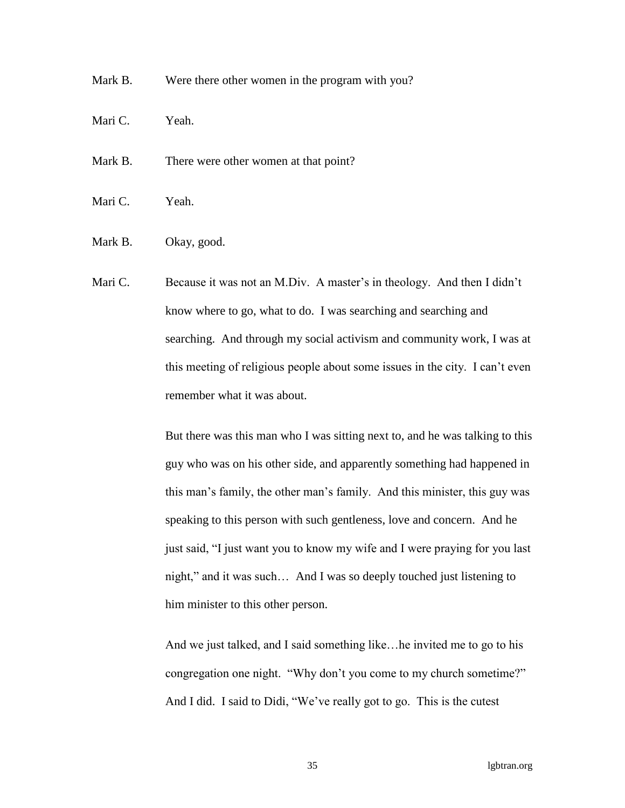Mark B. Were there other women in the program with you?

- Mari C. Yeah.
- Mark B. There were other women at that point?
- Mari C. Yeah.
- Mark B. Okay, good.
- Mari C. Because it was not an M.Div. A master's in theology. And then I didn't know where to go, what to do. I was searching and searching and searching. And through my social activism and community work, I was at this meeting of religious people about some issues in the city. I can't even remember what it was about.

But there was this man who I was sitting next to, and he was talking to this guy who was on his other side, and apparently something had happened in this man's family, the other man's family. And this minister, this guy was speaking to this person with such gentleness, love and concern. And he just said, "I just want you to know my wife and I were praying for you last night," and it was such… And I was so deeply touched just listening to him minister to this other person.

And we just talked, and I said something like…he invited me to go to his congregation one night. "Why don't you come to my church sometime?" And I did. I said to Didi, "We've really got to go. This is the cutest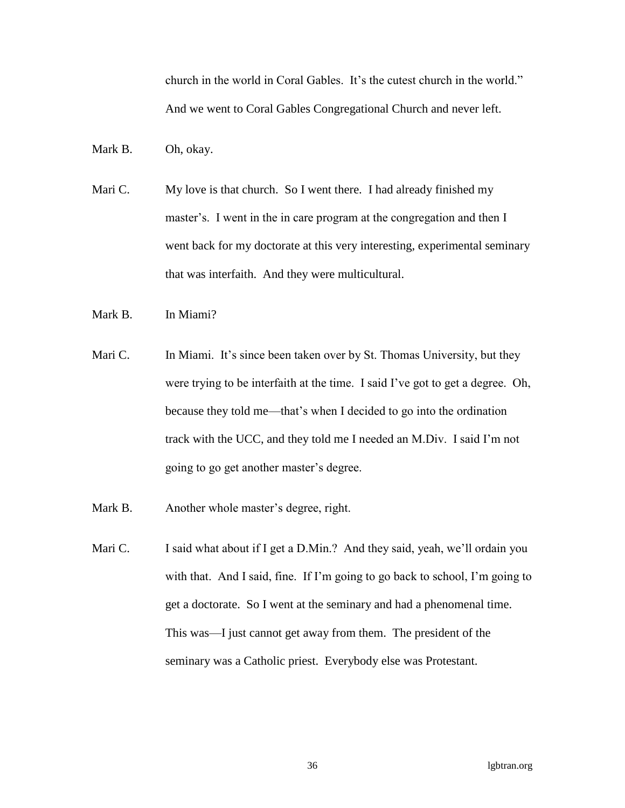church in the world in Coral Gables. It's the cutest church in the world." And we went to Coral Gables Congregational Church and never left.

- Mark B. Oh, okay.
- Mari C. My love is that church. So I went there. I had already finished my master's. I went in the in care program at the congregation and then I went back for my doctorate at this very interesting, experimental seminary that was interfaith. And they were multicultural.
- Mark B. In Miami?
- Mari C. In Miami. It's since been taken over by St. Thomas University, but they were trying to be interfaith at the time. I said I've got to get a degree. Oh, because they told me—that's when I decided to go into the ordination track with the UCC, and they told me I needed an M.Div. I said I'm not going to go get another master's degree.
- Mark B. Another whole master's degree, right.
- Mari C. I said what about if I get a D.Min.? And they said, yeah, we'll ordain you with that. And I said, fine. If I'm going to go back to school, I'm going to get a doctorate. So I went at the seminary and had a phenomenal time. This was—I just cannot get away from them. The president of the seminary was a Catholic priest. Everybody else was Protestant.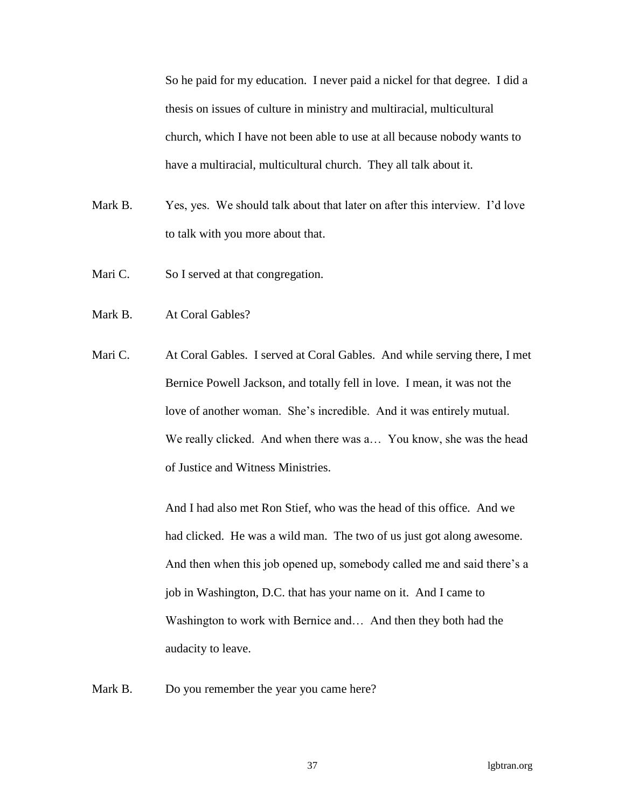So he paid for my education. I never paid a nickel for that degree. I did a thesis on issues of culture in ministry and multiracial, multicultural church, which I have not been able to use at all because nobody wants to have a multiracial, multicultural church. They all talk about it.

- Mark B. Yes, yes. We should talk about that later on after this interview. I'd love to talk with you more about that.
- Mari C. So I served at that congregation.
- Mark B. At Coral Gables?
- Mari C. At Coral Gables. I served at Coral Gables. And while serving there, I met Bernice Powell Jackson, and totally fell in love. I mean, it was not the love of another woman. She's incredible. And it was entirely mutual. We really clicked. And when there was a... You know, she was the head of Justice and Witness Ministries.

And I had also met Ron Stief, who was the head of this office. And we had clicked. He was a wild man. The two of us just got along awesome. And then when this job opened up, somebody called me and said there's a job in Washington, D.C. that has your name on it. And I came to Washington to work with Bernice and... And then they both had the audacity to leave.

Mark B. Do you remember the year you came here?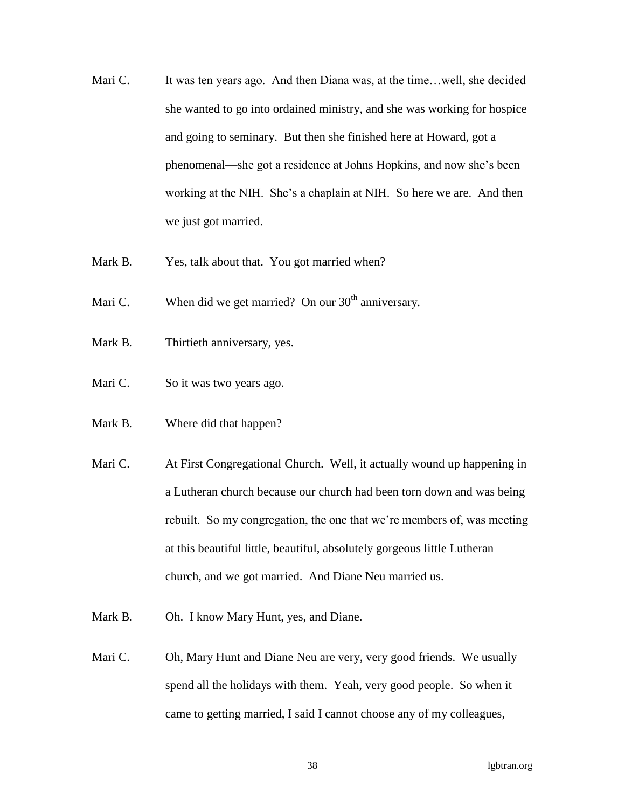- Mari C. It was ten years ago. And then Diana was, at the time... well, she decided she wanted to go into ordained ministry, and she was working for hospice and going to seminary. But then she finished here at Howard, got a phenomenal—she got a residence at Johns Hopkins, and now she's been working at the NIH. She's a chaplain at NIH. So here we are. And then we just got married.
- Mark B. Yes, talk about that. You got married when?
- Mari C. When did we get married? On our  $30<sup>th</sup>$  anniversary.
- Mark B. Thirtieth anniversary, yes.
- Mari C. So it was two years ago.
- Mark B. Where did that happen?
- Mari C. At First Congregational Church. Well, it actually wound up happening in a Lutheran church because our church had been torn down and was being rebuilt. So my congregation, the one that we're members of, was meeting at this beautiful little, beautiful, absolutely gorgeous little Lutheran church, and we got married. And Diane Neu married us.
- Mark B. Oh. I know Mary Hunt, yes, and Diane.
- Mari C. Oh, Mary Hunt and Diane Neu are very, very good friends. We usually spend all the holidays with them. Yeah, very good people. So when it came to getting married, I said I cannot choose any of my colleagues,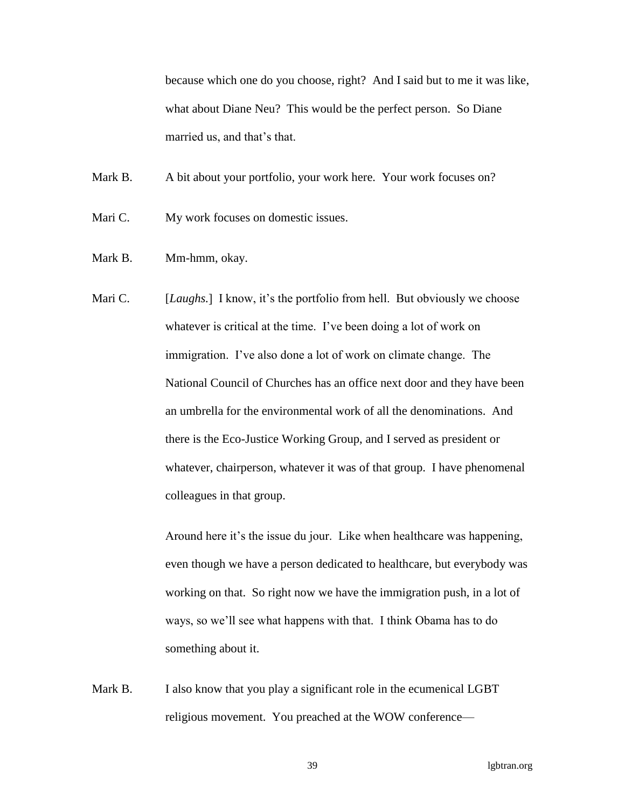because which one do you choose, right? And I said but to me it was like, what about Diane Neu? This would be the perfect person. So Diane married us, and that's that.

Mark B. A bit about your portfolio, your work here. Your work focuses on?

Mari C. My work focuses on domestic issues.

- Mark B. Mm-hmm, okay.
- Mari C. [*Laughs.*] I know, it's the portfolio from hell. But obviously we choose whatever is critical at the time. I've been doing a lot of work on immigration. I've also done a lot of work on climate change. The National Council of Churches has an office next door and they have been an umbrella for the environmental work of all the denominations. And there is the Eco-Justice Working Group, and I served as president or whatever, chairperson, whatever it was of that group. I have phenomenal colleagues in that group.

Around here it's the issue du jour. Like when healthcare was happening, even though we have a person dedicated to healthcare, but everybody was working on that. So right now we have the immigration push, in a lot of ways, so we'll see what happens with that. I think Obama has to do something about it.

Mark B. I also know that you play a significant role in the ecumenical LGBT religious movement. You preached at the WOW conference—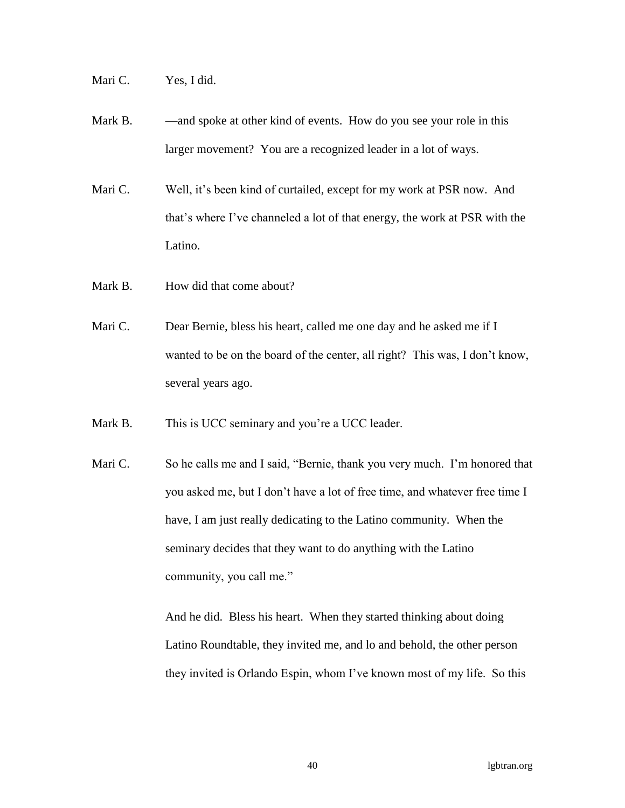Mari C. Yes, I did.

- Mark B. and spoke at other kind of events. How do you see your role in this larger movement? You are a recognized leader in a lot of ways.
- Mari C. Well, it's been kind of curtailed, except for my work at PSR now. And that's where I've channeled a lot of that energy, the work at PSR with the Latino.
- Mark B. How did that come about?
- Mari C. Dear Bernie, bless his heart, called me one day and he asked me if I wanted to be on the board of the center, all right? This was, I don't know, several years ago.
- Mark B. This is UCC seminary and you're a UCC leader.
- Mari C. So he calls me and I said, "Bernie, thank you very much. I'm honored that you asked me, but I don't have a lot of free time, and whatever free time I have, I am just really dedicating to the Latino community. When the seminary decides that they want to do anything with the Latino community, you call me."

And he did. Bless his heart. When they started thinking about doing Latino Roundtable, they invited me, and lo and behold, the other person they invited is Orlando Espin, whom I've known most of my life. So this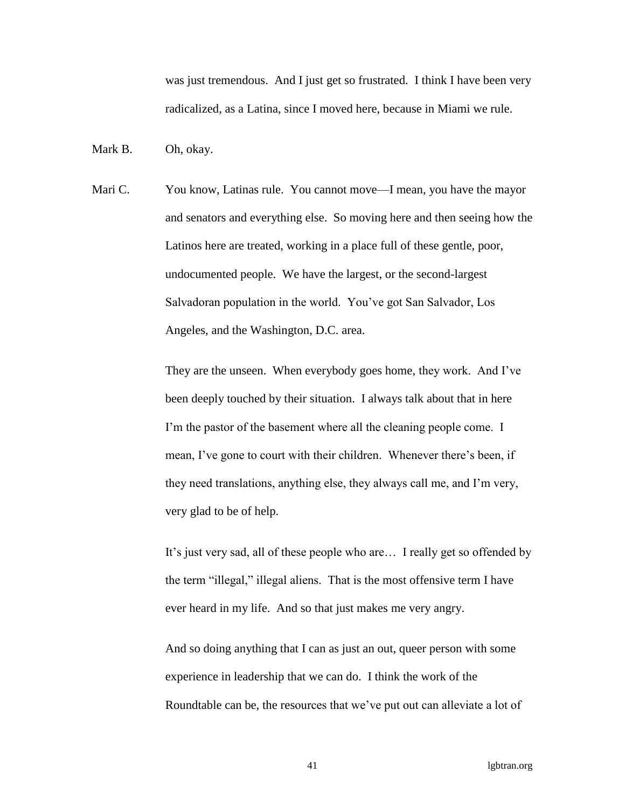was just tremendous. And I just get so frustrated. I think I have been very radicalized, as a Latina, since I moved here, because in Miami we rule.

Mark B. Oh, okay.

Mari C. You know, Latinas rule. You cannot move—I mean, you have the mayor and senators and everything else. So moving here and then seeing how the Latinos here are treated, working in a place full of these gentle, poor, undocumented people. We have the largest, or the second-largest Salvadoran population in the world. You've got San Salvador, Los Angeles, and the Washington, D.C. area.

> They are the unseen. When everybody goes home, they work. And I've been deeply touched by their situation. I always talk about that in here I'm the pastor of the basement where all the cleaning people come. I mean, I've gone to court with their children. Whenever there's been, if they need translations, anything else, they always call me, and I'm very, very glad to be of help.

It's just very sad, all of these people who are… I really get so offended by the term "illegal," illegal aliens. That is the most offensive term I have ever heard in my life. And so that just makes me very angry.

And so doing anything that I can as just an out, queer person with some experience in leadership that we can do. I think the work of the Roundtable can be, the resources that we've put out can alleviate a lot of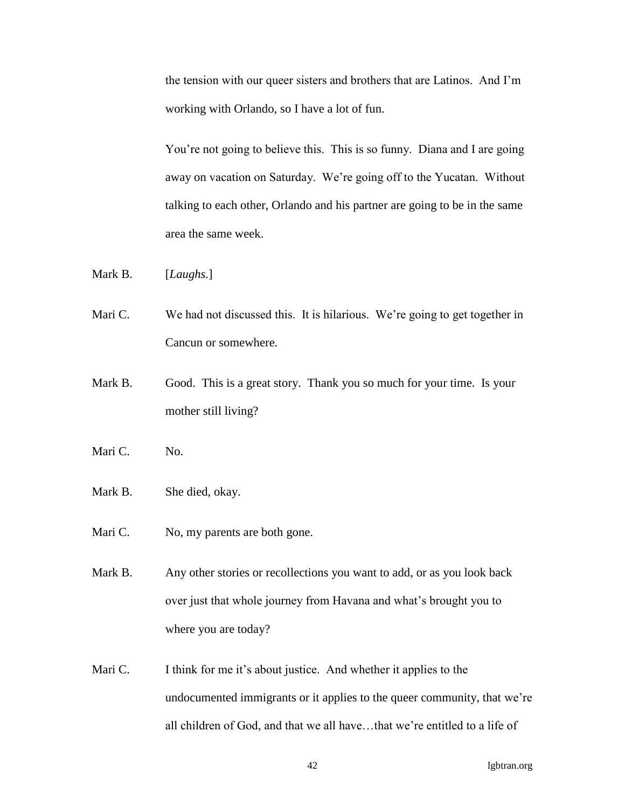the tension with our queer sisters and brothers that are Latinos. And I'm working with Orlando, so I have a lot of fun.

You're not going to believe this. This is so funny. Diana and I are going away on vacation on Saturday. We're going off to the Yucatan. Without talking to each other, Orlando and his partner are going to be in the same area the same week.

Mark B. [*Laughs.*]

Mari C. We had not discussed this. It is hilarious. We're going to get together in Cancun or somewhere.

Mark B. Good. This is a great story. Thank you so much for your time. Is your mother still living?

Mari C. No.

Mark B. She died, okay.

Mari C. No, my parents are both gone.

Mark B. Any other stories or recollections you want to add, or as you look back over just that whole journey from Havana and what's brought you to where you are today?

Mari C. I think for me it's about justice. And whether it applies to the undocumented immigrants or it applies to the queer community, that we're all children of God, and that we all have…that we're entitled to a life of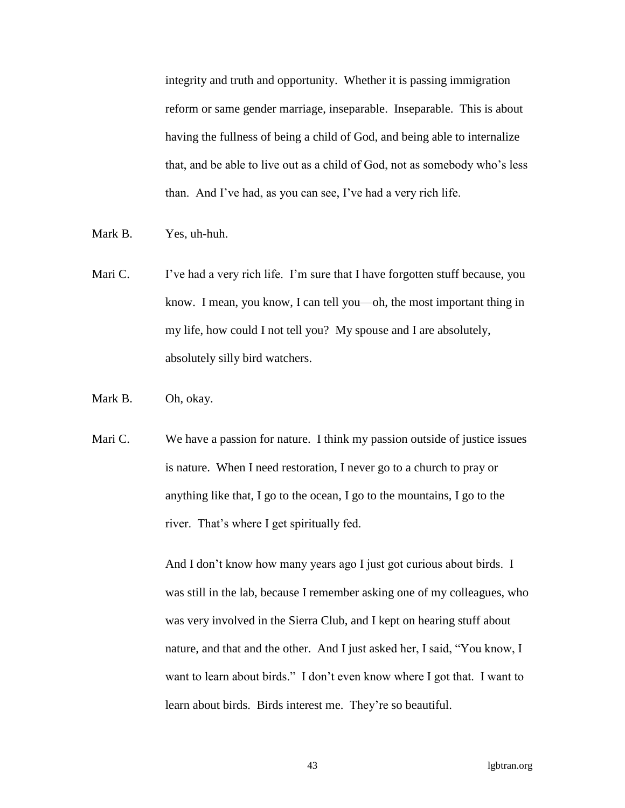integrity and truth and opportunity. Whether it is passing immigration reform or same gender marriage, inseparable. Inseparable. This is about having the fullness of being a child of God, and being able to internalize that, and be able to live out as a child of God, not as somebody who's less than. And I've had, as you can see, I've had a very rich life.

- Mark B. Yes, uh-huh.
- Mari C. I've had a very rich life. I'm sure that I have forgotten stuff because, you know. I mean, you know, I can tell you—oh, the most important thing in my life, how could I not tell you? My spouse and I are absolutely, absolutely silly bird watchers.
- Mark B. Oh, okay.
- Mari C. We have a passion for nature. I think my passion outside of justice issues is nature. When I need restoration, I never go to a church to pray or anything like that, I go to the ocean, I go to the mountains, I go to the river. That's where I get spiritually fed.

And I don't know how many years ago I just got curious about birds. I was still in the lab, because I remember asking one of my colleagues, who was very involved in the Sierra Club, and I kept on hearing stuff about nature, and that and the other. And I just asked her, I said, "You know, I want to learn about birds." I don't even know where I got that. I want to learn about birds. Birds interest me. They're so beautiful.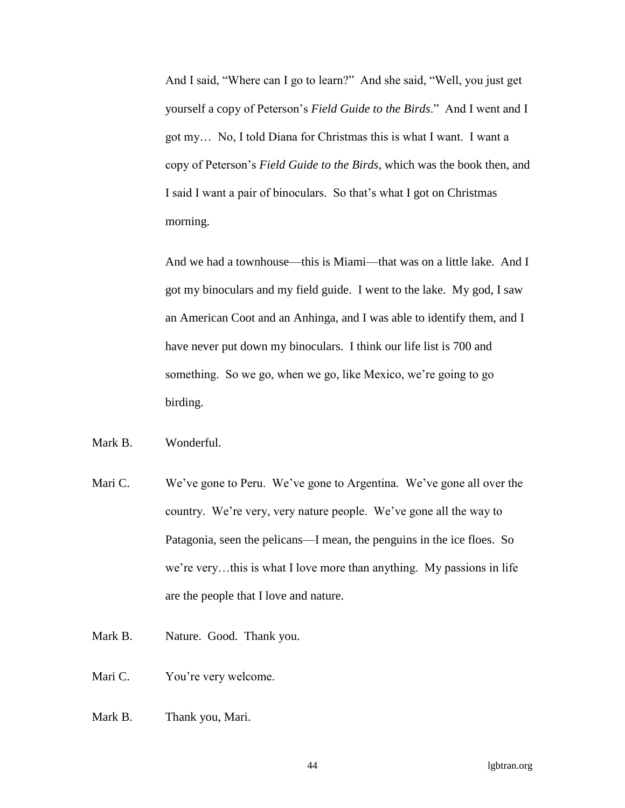And I said, "Where can I go to learn?" And she said, "Well, you just get yourself a copy of Peterson's *Field Guide to the Birds*." And I went and I got my… No, I told Diana for Christmas this is what I want. I want a copy of Peterson's *Field Guide to the Birds*, which was the book then, and I said I want a pair of binoculars. So that's what I got on Christmas morning.

And we had a townhouse—this is Miami—that was on a little lake. And I got my binoculars and my field guide. I went to the lake. My god, I saw an American Coot and an Anhinga, and I was able to identify them, and I have never put down my binoculars. I think our life list is 700 and something. So we go, when we go, like Mexico, we're going to go birding.

## Mark B. Wonderful.

- Mari C. We've gone to Peru. We've gone to Argentina. We've gone all over the country. We're very, very nature people. We've gone all the way to Patagonia, seen the pelicans—I mean, the penguins in the ice floes. So we're very…this is what I love more than anything. My passions in life are the people that I love and nature.
- Mark B. Nature. Good. Thank you.
- Mari C. You're very welcome.
- Mark B. Thank you, Mari.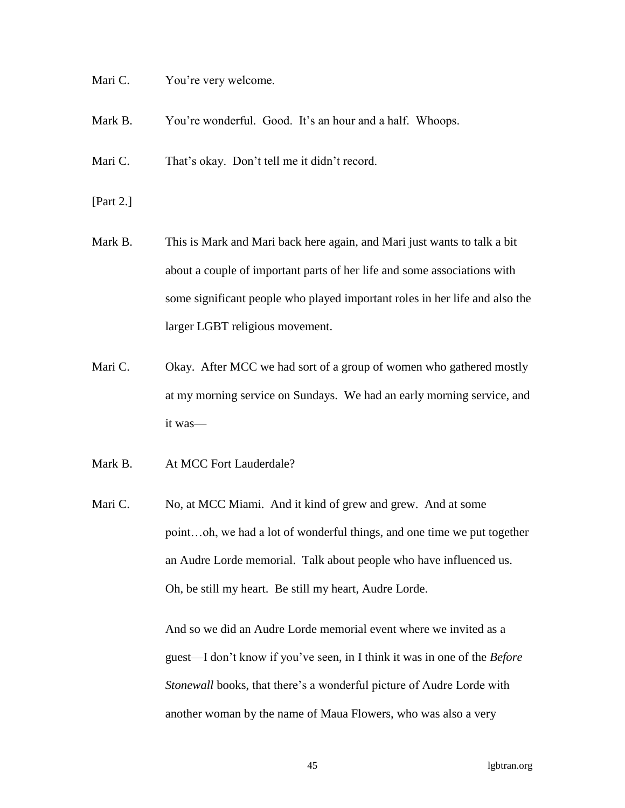Mari C. You're very welcome.

Mark B. You're wonderful. Good. It's an hour and a half. Whoops.

Mari C. That's okay. Don't tell me it didn't record.

- [Part 2.]
- Mark B. This is Mark and Mari back here again, and Mari just wants to talk a bit about a couple of important parts of her life and some associations with some significant people who played important roles in her life and also the larger LGBT religious movement.
- Mari C. Chay. After MCC we had sort of a group of women who gathered mostly at my morning service on Sundays. We had an early morning service, and it was—
- Mark B. At MCC Fort Lauderdale?
- Mari C. No, at MCC Miami. And it kind of grew and grew. And at some point…oh, we had a lot of wonderful things, and one time we put together an Audre Lorde memorial. Talk about people who have influenced us. Oh, be still my heart. Be still my heart, Audre Lorde.

And so we did an Audre Lorde memorial event where we invited as a guest—I don't know if you've seen, in I think it was in one of the *Before Stonewall* books, that there's a wonderful picture of Audre Lorde with another woman by the name of Maua Flowers, who was also a very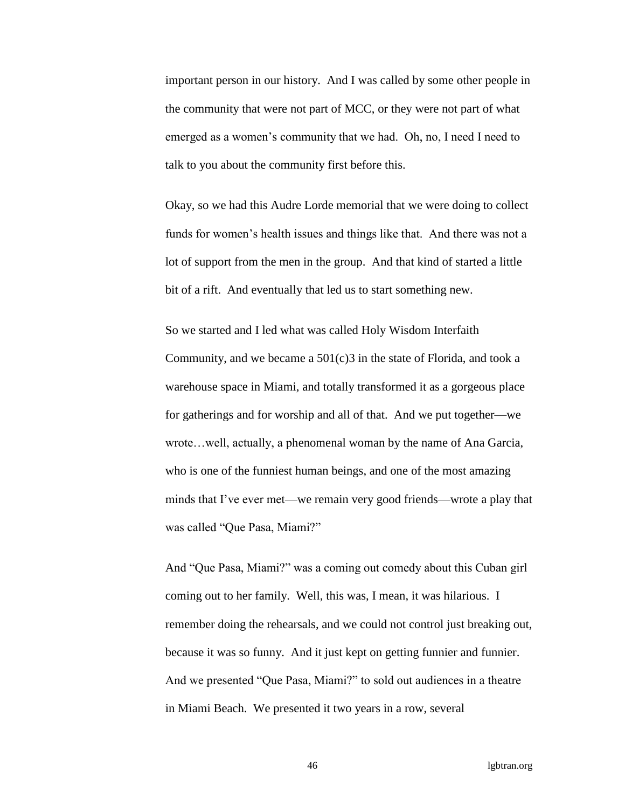important person in our history. And I was called by some other people in the community that were not part of MCC, or they were not part of what emerged as a women's community that we had. Oh, no, I need I need to talk to you about the community first before this.

Okay, so we had this Audre Lorde memorial that we were doing to collect funds for women's health issues and things like that. And there was not a lot of support from the men in the group. And that kind of started a little bit of a rift. And eventually that led us to start something new.

So we started and I led what was called Holy Wisdom Interfaith Community, and we became a 501(c)3 in the state of Florida, and took a warehouse space in Miami, and totally transformed it as a gorgeous place for gatherings and for worship and all of that. And we put together—we wrote…well, actually, a phenomenal woman by the name of Ana Garcia, who is one of the funniest human beings, and one of the most amazing minds that I've ever met—we remain very good friends—wrote a play that was called "Que Pasa, Miami?"

And "Que Pasa, Miami?" was a coming out comedy about this Cuban girl coming out to her family. Well, this was, I mean, it was hilarious. I remember doing the rehearsals, and we could not control just breaking out, because it was so funny. And it just kept on getting funnier and funnier. And we presented "Que Pasa, Miami?" to sold out audiences in a theatre in Miami Beach. We presented it two years in a row, several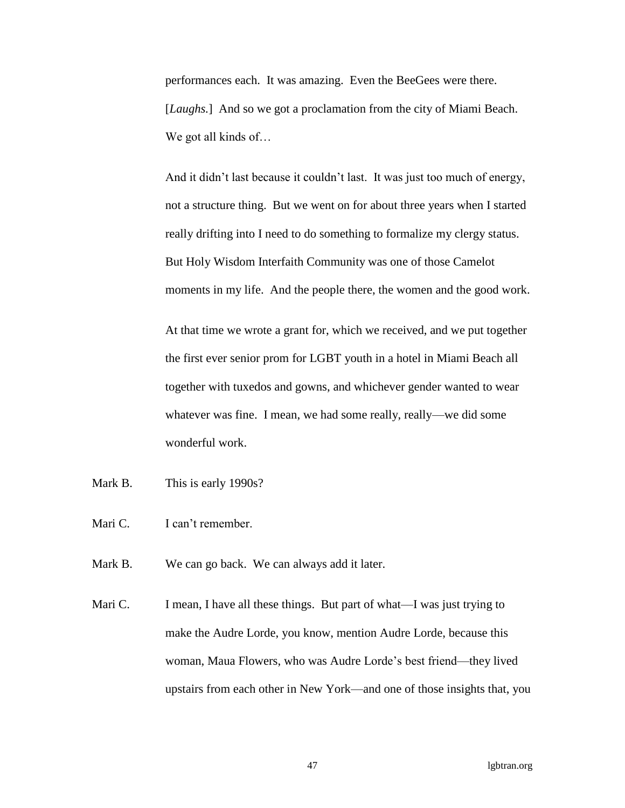performances each. It was amazing. Even the BeeGees were there. [*Laughs.*] And so we got a proclamation from the city of Miami Beach. We got all kinds of...

And it didn't last because it couldn't last. It was just too much of energy, not a structure thing. But we went on for about three years when I started really drifting into I need to do something to formalize my clergy status. But Holy Wisdom Interfaith Community was one of those Camelot moments in my life. And the people there, the women and the good work.

At that time we wrote a grant for, which we received, and we put together the first ever senior prom for LGBT youth in a hotel in Miami Beach all together with tuxedos and gowns, and whichever gender wanted to wear whatever was fine. I mean, we had some really, really—we did some wonderful work.

- Mark B. This is early 1990s?
- Mari C. I can't remember.
- Mark B. We can go back. We can always add it later.
- Mari C. I mean, I have all these things. But part of what—I was just trying to make the Audre Lorde, you know, mention Audre Lorde, because this woman, Maua Flowers, who was Audre Lorde's best friend—they lived upstairs from each other in New York—and one of those insights that, you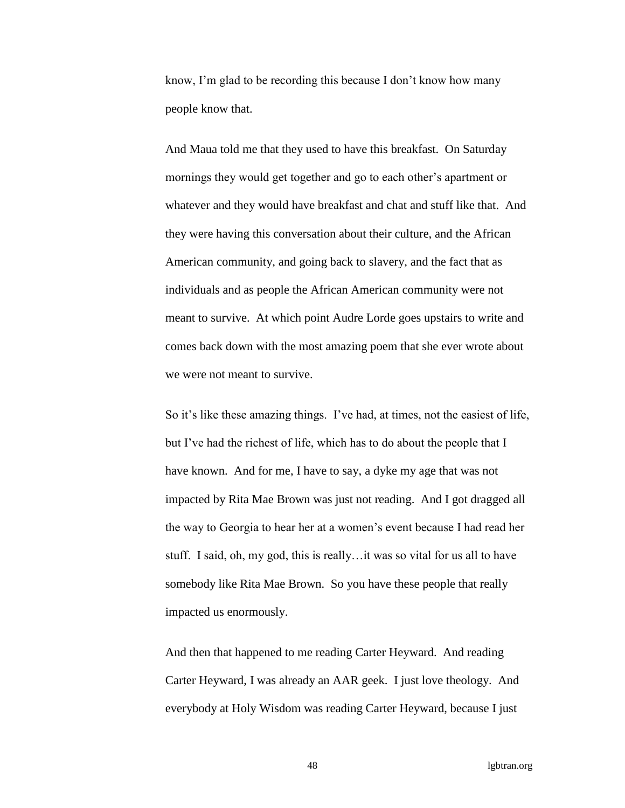know, I'm glad to be recording this because I don't know how many people know that.

And Maua told me that they used to have this breakfast. On Saturday mornings they would get together and go to each other's apartment or whatever and they would have breakfast and chat and stuff like that. And they were having this conversation about their culture, and the African American community, and going back to slavery, and the fact that as individuals and as people the African American community were not meant to survive. At which point Audre Lorde goes upstairs to write and comes back down with the most amazing poem that she ever wrote about we were not meant to survive.

So it's like these amazing things. I've had, at times, not the easiest of life, but I've had the richest of life, which has to do about the people that I have known. And for me, I have to say, a dyke my age that was not impacted by Rita Mae Brown was just not reading. And I got dragged all the way to Georgia to hear her at a women's event because I had read her stuff. I said, oh, my god, this is really…it was so vital for us all to have somebody like Rita Mae Brown. So you have these people that really impacted us enormously.

And then that happened to me reading Carter Heyward. And reading Carter Heyward, I was already an AAR geek. I just love theology. And everybody at Holy Wisdom was reading Carter Heyward, because I just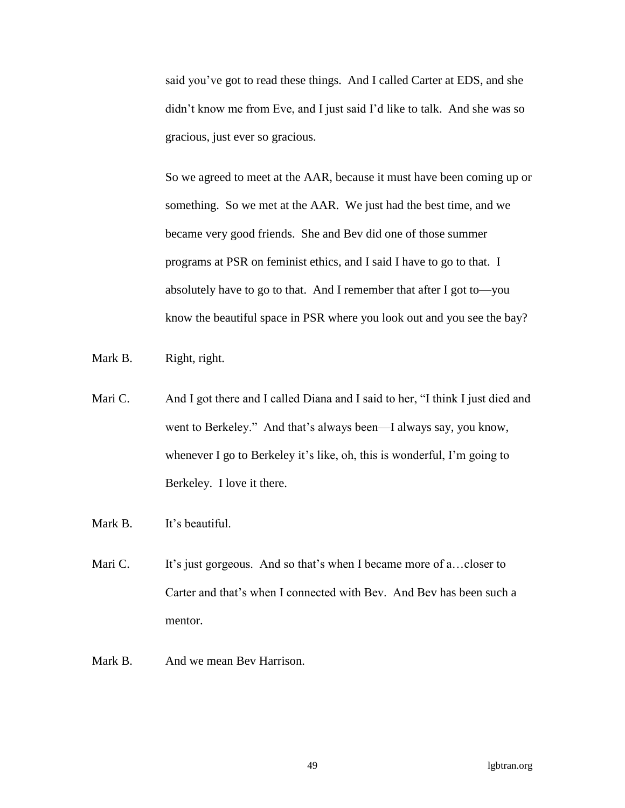said you've got to read these things. And I called Carter at EDS, and she didn't know me from Eve, and I just said I'd like to talk. And she was so gracious, just ever so gracious.

So we agreed to meet at the AAR, because it must have been coming up or something. So we met at the AAR. We just had the best time, and we became very good friends. She and Bev did one of those summer programs at PSR on feminist ethics, and I said I have to go to that. I absolutely have to go to that. And I remember that after I got to—you know the beautiful space in PSR where you look out and you see the bay?

Mark B. Right, right.

- Mari C. And I got there and I called Diana and I said to her, "I think I just died and went to Berkeley." And that's always been—I always say, you know, whenever I go to Berkeley it's like, oh, this is wonderful, I'm going to Berkeley. I love it there.
- Mark B. It's beautiful.
- Mari C. It's just gorgeous. And so that's when I became more of a... closer to Carter and that's when I connected with Bev. And Bev has been such a mentor.
- Mark B. And we mean Bev Harrison.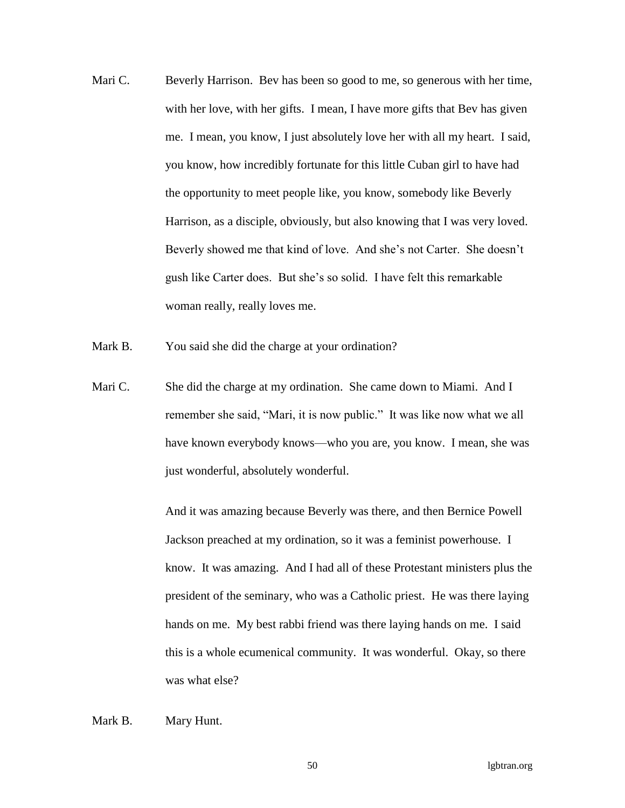- Mari C. Beverly Harrison. Bev has been so good to me, so generous with her time, with her love, with her gifts. I mean, I have more gifts that Bev has given me. I mean, you know, I just absolutely love her with all my heart. I said, you know, how incredibly fortunate for this little Cuban girl to have had the opportunity to meet people like, you know, somebody like Beverly Harrison, as a disciple, obviously, but also knowing that I was very loved. Beverly showed me that kind of love. And she's not Carter. She doesn't gush like Carter does. But she's so solid. I have felt this remarkable woman really, really loves me.
- Mark B. You said she did the charge at your ordination?
- Mari C. She did the charge at my ordination. She came down to Miami. And I remember she said, "Mari, it is now public." It was like now what we all have known everybody knows—who you are, you know. I mean, she was just wonderful, absolutely wonderful.

And it was amazing because Beverly was there, and then Bernice Powell Jackson preached at my ordination, so it was a feminist powerhouse. I know. It was amazing. And I had all of these Protestant ministers plus the president of the seminary, who was a Catholic priest. He was there laying hands on me. My best rabbi friend was there laying hands on me. I said this is a whole ecumenical community. It was wonderful. Okay, so there was what else?

## Mark B. Mary Hunt.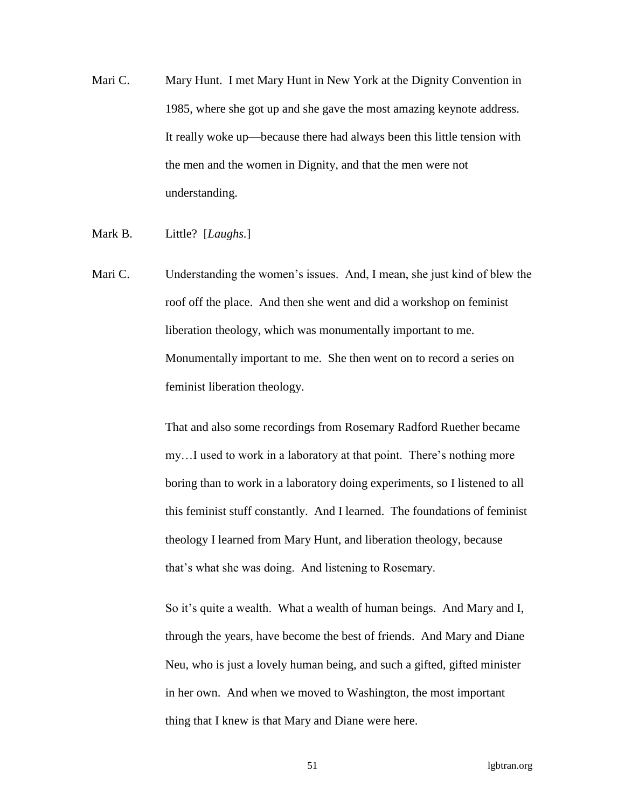- Mari C. Mary Hunt. I met Mary Hunt in New York at the Dignity Convention in 1985, where she got up and she gave the most amazing keynote address. It really woke up—because there had always been this little tension with the men and the women in Dignity, and that the men were not understanding.
- Mark B. Little? [*Laughs.*]
- Mari C. Understanding the women's issues. And, I mean, she just kind of blew the roof off the place. And then she went and did a workshop on feminist liberation theology, which was monumentally important to me. Monumentally important to me. She then went on to record a series on feminist liberation theology.

That and also some recordings from Rosemary Radford Ruether became my…I used to work in a laboratory at that point. There's nothing more boring than to work in a laboratory doing experiments, so I listened to all this feminist stuff constantly. And I learned. The foundations of feminist theology I learned from Mary Hunt, and liberation theology, because that's what she was doing. And listening to Rosemary.

So it's quite a wealth. What a wealth of human beings. And Mary and I, through the years, have become the best of friends. And Mary and Diane Neu, who is just a lovely human being, and such a gifted, gifted minister in her own. And when we moved to Washington, the most important thing that I knew is that Mary and Diane were here.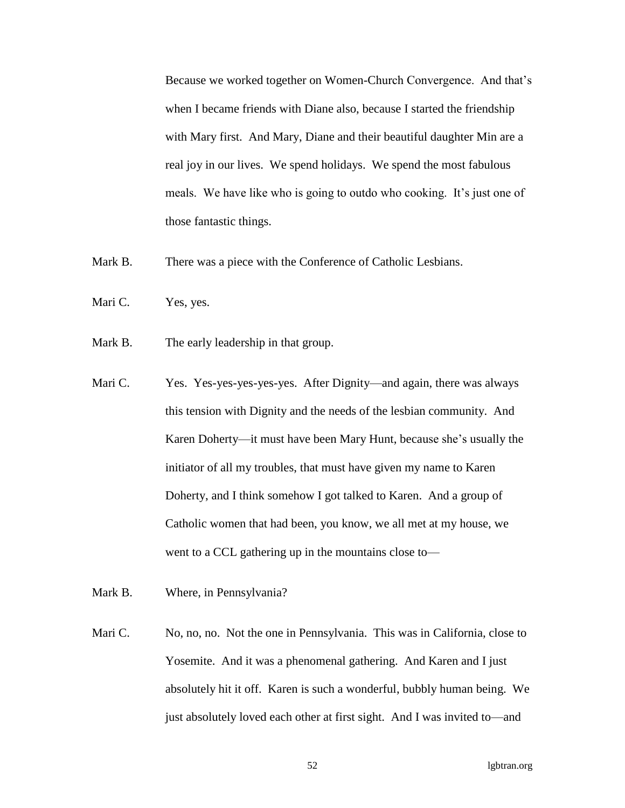Because we worked together on Women-Church Convergence. And that's when I became friends with Diane also, because I started the friendship with Mary first. And Mary, Diane and their beautiful daughter Min are a real joy in our lives. We spend holidays. We spend the most fabulous meals. We have like who is going to outdo who cooking. It's just one of those fantastic things.

- Mark B. There was a piece with the Conference of Catholic Lesbians.
- Mari C. Yes, yes.
- Mark B. The early leadership in that group.
- Mari C. Yes. Yes-yes-yes-yes-yes. After Dignity—and again, there was always this tension with Dignity and the needs of the lesbian community. And Karen Doherty—it must have been Mary Hunt, because she's usually the initiator of all my troubles, that must have given my name to Karen Doherty, and I think somehow I got talked to Karen. And a group of Catholic women that had been, you know, we all met at my house, we went to a CCL gathering up in the mountains close to—
- Mark B. Where, in Pennsylvania?
- Mari C. No, no, no. Not the one in Pennsylvania. This was in California, close to Yosemite. And it was a phenomenal gathering. And Karen and I just absolutely hit it off. Karen is such a wonderful, bubbly human being. We just absolutely loved each other at first sight. And I was invited to—and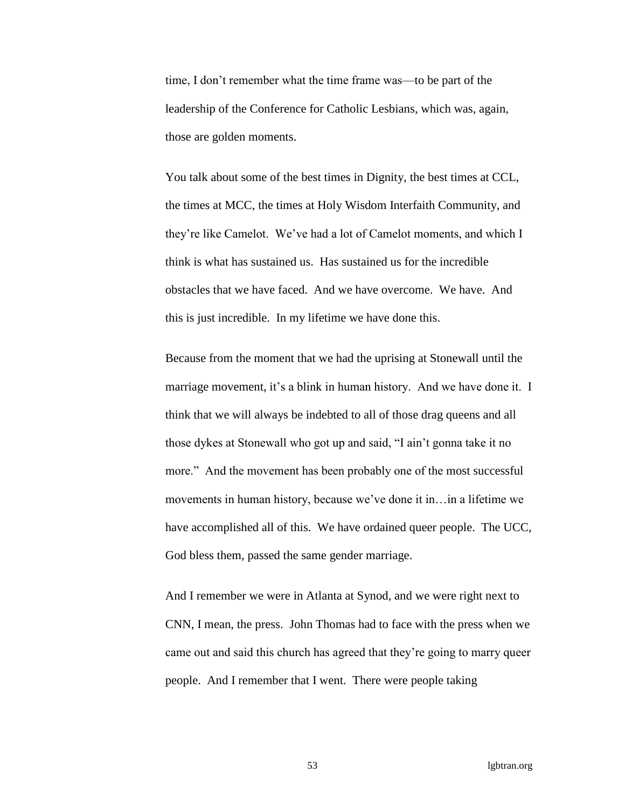time, I don't remember what the time frame was—to be part of the leadership of the Conference for Catholic Lesbians, which was, again, those are golden moments.

You talk about some of the best times in Dignity, the best times at CCL, the times at MCC, the times at Holy Wisdom Interfaith Community, and they're like Camelot. We've had a lot of Camelot moments, and which I think is what has sustained us. Has sustained us for the incredible obstacles that we have faced. And we have overcome. We have. And this is just incredible. In my lifetime we have done this.

Because from the moment that we had the uprising at Stonewall until the marriage movement, it's a blink in human history. And we have done it. I think that we will always be indebted to all of those drag queens and all those dykes at Stonewall who got up and said, "I ain't gonna take it no more." And the movement has been probably one of the most successful movements in human history, because we've done it in…in a lifetime we have accomplished all of this. We have ordained queer people. The UCC, God bless them, passed the same gender marriage.

And I remember we were in Atlanta at Synod, and we were right next to CNN, I mean, the press. John Thomas had to face with the press when we came out and said this church has agreed that they're going to marry queer people. And I remember that I went. There were people taking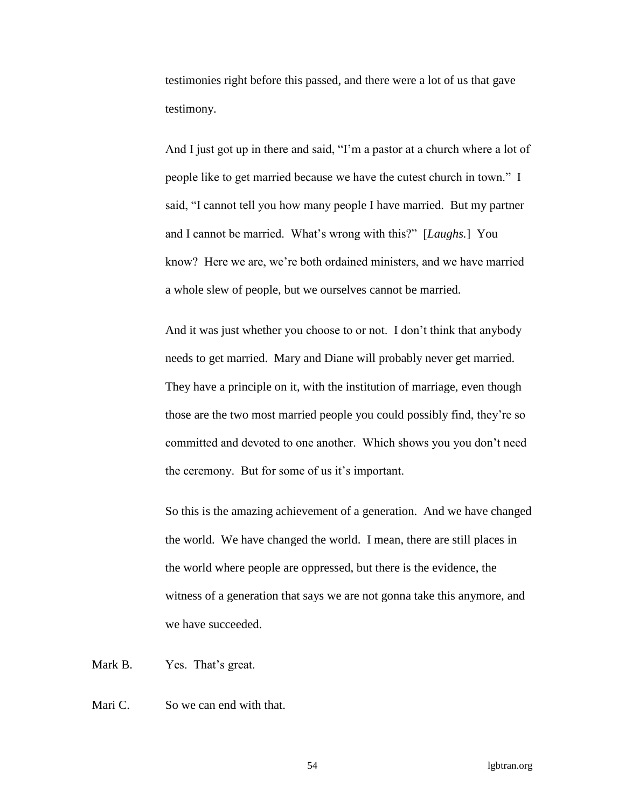testimonies right before this passed, and there were a lot of us that gave testimony.

And I just got up in there and said, "I'm a pastor at a church where a lot of people like to get married because we have the cutest church in town." I said, "I cannot tell you how many people I have married. But my partner and I cannot be married. What's wrong with this?" [*Laughs.*] You know? Here we are, we're both ordained ministers, and we have married a whole slew of people, but we ourselves cannot be married.

And it was just whether you choose to or not. I don't think that anybody needs to get married. Mary and Diane will probably never get married. They have a principle on it, with the institution of marriage, even though those are the two most married people you could possibly find, they're so committed and devoted to one another. Which shows you you don't need the ceremony. But for some of us it's important.

So this is the amazing achievement of a generation. And we have changed the world. We have changed the world. I mean, there are still places in the world where people are oppressed, but there is the evidence, the witness of a generation that says we are not gonna take this anymore, and we have succeeded.

Mark B. Yes. That's great.

Mari C. So we can end with that.